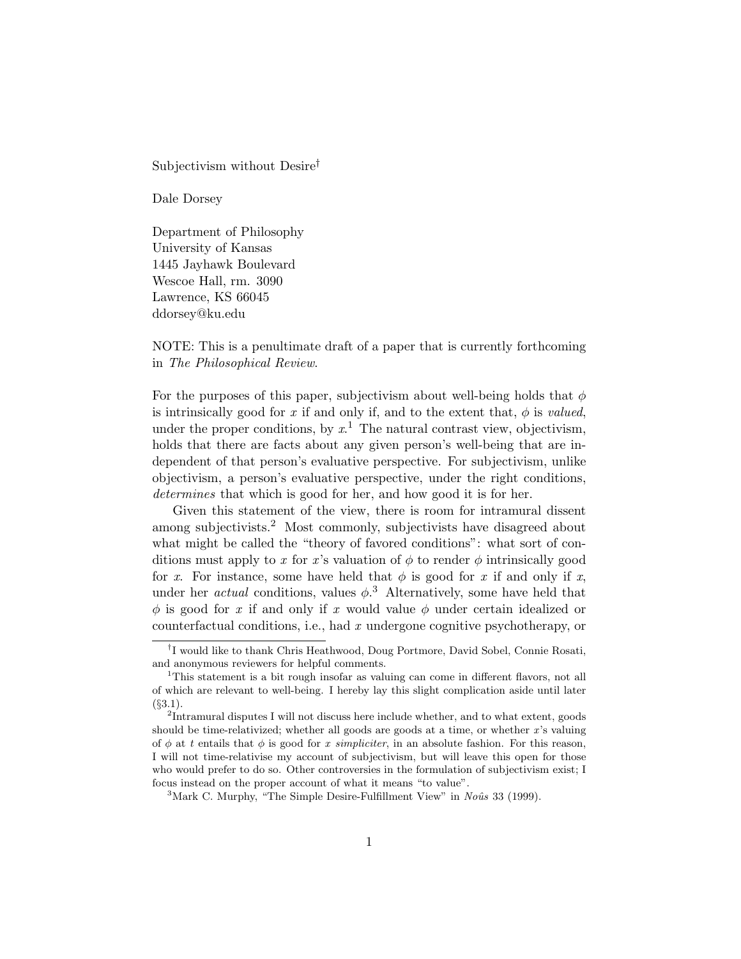Subjectivism without Desire†

Dale Dorsey

Department of Philosophy University of Kansas 1445 Jayhawk Boulevard Wescoe Hall, rm. 3090 Lawrence, KS 66045 ddorsey@ku.edu

NOTE: This is a penultimate draft of a paper that is currently forthcoming in The Philosophical Review.

For the purposes of this paper, subjectivism about well-being holds that  $\phi$ is intrinsically good for x if and only if, and to the extent that,  $\phi$  is valued, under the proper conditions, by  $x<sup>1</sup>$ . The natural contrast view, objectivism, holds that there are facts about any given person's well-being that are independent of that person's evaluative perspective. For subjectivism, unlike objectivism, a person's evaluative perspective, under the right conditions, determines that which is good for her, and how good it is for her.

Given this statement of the view, there is room for intramural dissent among subjectivists.<sup>2</sup> Most commonly, subjectivists have disagreed about what might be called the "theory of favored conditions": what sort of conditions must apply to x for x's valuation of  $\phi$  to render  $\phi$  intrinsically good for x. For instance, some have held that  $\phi$  is good for x if and only if x, under her *actual* conditions, values  $\phi$ <sup>3</sup> Alternatively, some have held that  $\phi$  is good for x if and only if x would value  $\phi$  under certain idealized or counterfactual conditions, i.e., had  $x$  undergone cognitive psychotherapy, or

<sup>†</sup> I would like to thank Chris Heathwood, Doug Portmore, David Sobel, Connie Rosati, and anonymous reviewers for helpful comments.

<sup>&</sup>lt;sup>1</sup>This statement is a bit rough insofar as valuing can come in different flavors, not all of which are relevant to well-being. I hereby lay this slight complication aside until later  $(§3.1).$ 

<sup>&</sup>lt;sup>2</sup>Intramural disputes I will not discuss here include whether, and to what extent, goods should be time-relativized; whether all goods are goods at a time, or whether  $x$ 's valuing of  $\phi$  at t entails that  $\phi$  is good for x simpliciter, in an absolute fashion. For this reason, I will not time-relativise my account of subjectivism, but will leave this open for those who would prefer to do so. Other controversies in the formulation of subjectivism exist; I focus instead on the proper account of what it means "to value".

<sup>&</sup>lt;sup>3</sup>Mark C. Murphy, "The Simple Desire-Fulfillment View" in *Noûs* 33 (1999).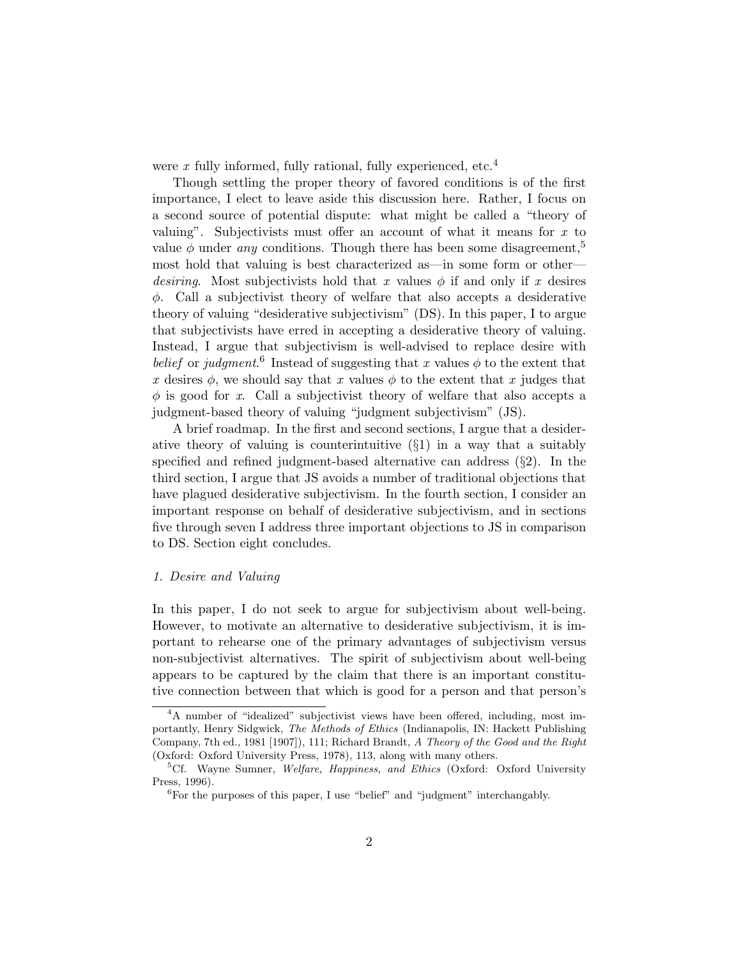were  $x$  fully informed, fully rational, fully experienced, etc.<sup>4</sup>

Though settling the proper theory of favored conditions is of the first importance, I elect to leave aside this discussion here. Rather, I focus on a second source of potential dispute: what might be called a "theory of valuing". Subjectivists must offer an account of what it means for  $x$  to value  $\phi$  under any conditions. Though there has been some disagreement,<sup>5</sup> most hold that valuing is best characterized as—in some form or other desiring. Most subjectivists hold that x values  $\phi$  if and only if x desires  $\phi$ . Call a subjectivist theory of welfare that also accepts a desiderative theory of valuing "desiderative subjectivism" (DS). In this paper, I to argue that subjectivists have erred in accepting a desiderative theory of valuing. Instead, I argue that subjectivism is well-advised to replace desire with belief or judgment.<sup>6</sup> Instead of suggesting that x values  $\phi$  to the extent that x desires  $\phi$ , we should say that x values  $\phi$  to the extent that x judges that  $\phi$  is good for x. Call a subjectivist theory of welfare that also accepts a judgment-based theory of valuing "judgment subjectivism" (JS).

A brief roadmap. In the first and second sections, I argue that a desiderative theory of valuing is counterintuitive  $(\S1)$  in a way that a suitably specified and refined judgment-based alternative can address (§2). In the third section, I argue that JS avoids a number of traditional objections that have plagued desiderative subjectivism. In the fourth section, I consider an important response on behalf of desiderative subjectivism, and in sections five through seven I address three important objections to JS in comparison to DS. Section eight concludes.

## 1. Desire and Valuing

In this paper, I do not seek to argue for subjectivism about well-being. However, to motivate an alternative to desiderative subjectivism, it is important to rehearse one of the primary advantages of subjectivism versus non-subjectivist alternatives. The spirit of subjectivism about well-being appears to be captured by the claim that there is an important constitutive connection between that which is good for a person and that person's

<sup>&</sup>lt;sup>4</sup>A number of "idealized" subjectivist views have been offered, including, most importantly, Henry Sidgwick, The Methods of Ethics (Indianapolis, IN: Hackett Publishing Company, 7th ed., 1981 [1907]), 111; Richard Brandt, A Theory of the Good and the Right (Oxford: Oxford University Press, 1978), 113, along with many others.

<sup>&</sup>lt;sup>5</sup>Cf. Wayne Sumner, *Welfare, Happiness, and Ethics* (Oxford: Oxford University Press, 1996).

<sup>&</sup>lt;sup>6</sup>For the purposes of this paper, I use "belief" and "judgment" interchangably.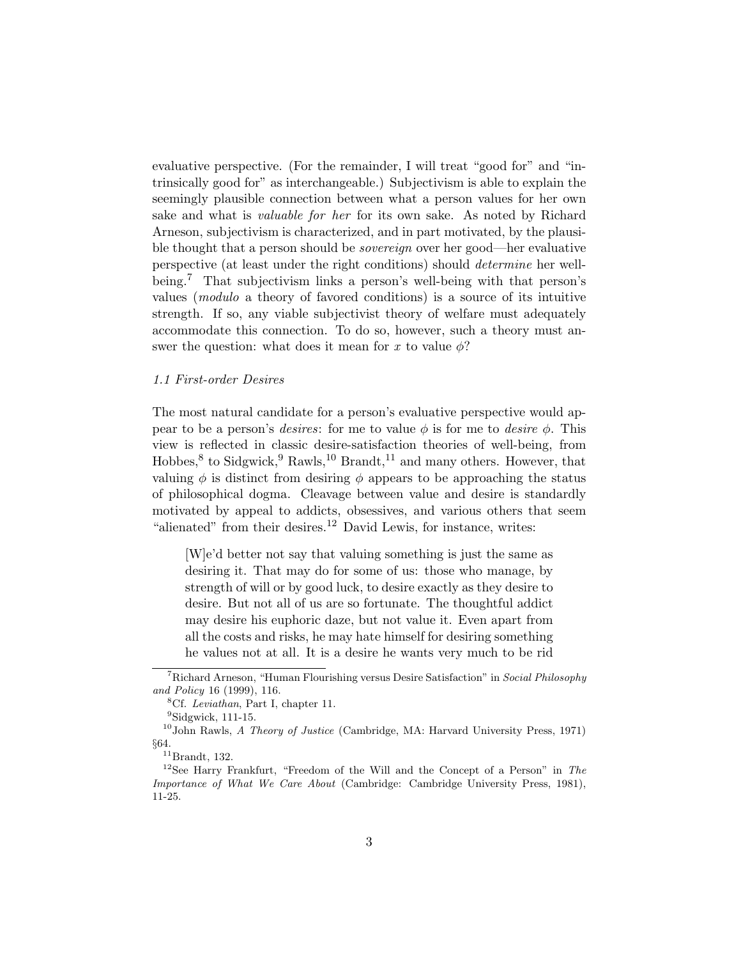evaluative perspective. (For the remainder, I will treat "good for" and "intrinsically good for" as interchangeable.) Subjectivism is able to explain the seemingly plausible connection between what a person values for her own sake and what is valuable for her for its own sake. As noted by Richard Arneson, subjectivism is characterized, and in part motivated, by the plausible thought that a person should be sovereign over her good—her evaluative perspective (at least under the right conditions) should determine her wellbeing.<sup>7</sup> That subjectivism links a person's well-being with that person's values (modulo a theory of favored conditions) is a source of its intuitive strength. If so, any viable subjectivist theory of welfare must adequately accommodate this connection. To do so, however, such a theory must answer the question: what does it mean for x to value  $\phi$ ?

### 1.1 First-order Desires

The most natural candidate for a person's evaluative perspective would appear to be a person's *desires*: for me to value  $\phi$  is for me to *desire*  $\phi$ . This view is reflected in classic desire-satisfaction theories of well-being, from Hobbes,<sup>8</sup> to Sidgwick,<sup>9</sup> Rawls,<sup>10</sup> Brandt,<sup>11</sup> and many others. However, that valuing  $\phi$  is distinct from desiring  $\phi$  appears to be approaching the status of philosophical dogma. Cleavage between value and desire is standardly motivated by appeal to addicts, obsessives, and various others that seem "alienated" from their desires.<sup>12</sup> David Lewis, for instance, writes:

[W]e'd better not say that valuing something is just the same as desiring it. That may do for some of us: those who manage, by strength of will or by good luck, to desire exactly as they desire to desire. But not all of us are so fortunate. The thoughtful addict may desire his euphoric daze, but not value it. Even apart from all the costs and risks, he may hate himself for desiring something he values not at all. It is a desire he wants very much to be rid

<sup>&</sup>lt;sup>7</sup>Richard Arneson, "Human Flourishing versus Desire Satisfaction" in Social Philosophy and Policy 16 (1999), 116.

<sup>&</sup>lt;sup>8</sup>Cf. Leviathan, Part I, chapter 11.

 $9$ Sidgwick, 111-15.

 $10$  John Rawls, A Theory of Justice (Cambridge, MA: Harvard University Press, 1971) §64.

 $\rm ^{11}Brandt,\,$  132.

<sup>&</sup>lt;sup>12</sup>See Harry Frankfurt, "Freedom of the Will and the Concept of a Person" in The Importance of What We Care About (Cambridge: Cambridge University Press, 1981), 11-25.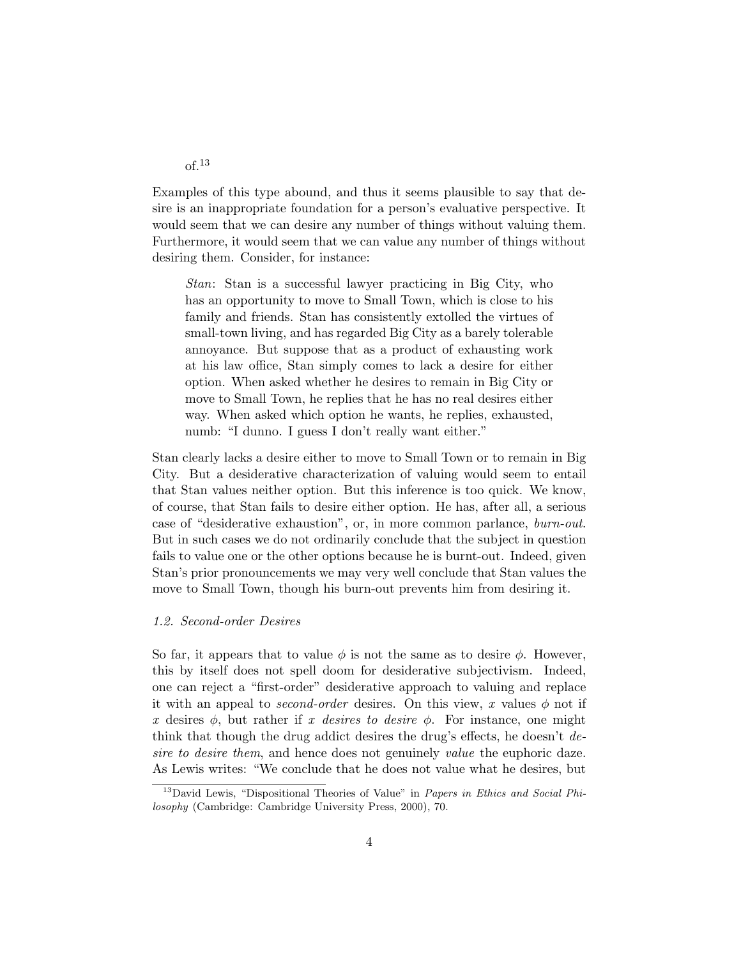Examples of this type abound, and thus it seems plausible to say that desire is an inappropriate foundation for a person's evaluative perspective. It would seem that we can desire any number of things without valuing them. Furthermore, it would seem that we can value any number of things without desiring them. Consider, for instance:

Stan: Stan is a successful lawyer practicing in Big City, who has an opportunity to move to Small Town, which is close to his family and friends. Stan has consistently extolled the virtues of small-town living, and has regarded Big City as a barely tolerable annoyance. But suppose that as a product of exhausting work at his law office, Stan simply comes to lack a desire for either option. When asked whether he desires to remain in Big City or move to Small Town, he replies that he has no real desires either way. When asked which option he wants, he replies, exhausted, numb: "I dunno. I guess I don't really want either."

Stan clearly lacks a desire either to move to Small Town or to remain in Big City. But a desiderative characterization of valuing would seem to entail that Stan values neither option. But this inference is too quick. We know, of course, that Stan fails to desire either option. He has, after all, a serious case of "desiderative exhaustion", or, in more common parlance, burn-out. But in such cases we do not ordinarily conclude that the subject in question fails to value one or the other options because he is burnt-out. Indeed, given Stan's prior pronouncements we may very well conclude that Stan values the move to Small Town, though his burn-out prevents him from desiring it.

# 1.2. Second-order Desires

So far, it appears that to value  $\phi$  is not the same as to desire  $\phi$ . However, this by itself does not spell doom for desiderative subjectivism. Indeed, one can reject a "first-order" desiderative approach to valuing and replace it with an appeal to *second-order* desires. On this view, x values  $\phi$  not if x desires  $\phi$ , but rather if x desires to desire  $\phi$ . For instance, one might think that though the drug addict desires the drug's effects, he doesn't  $de$ sire to desire them, and hence does not genuinely value the euphoric daze. As Lewis writes: "We conclude that he does not value what he desires, but

of.<sup>13</sup>

<sup>&</sup>lt;sup>13</sup>David Lewis, "Dispositional Theories of Value" in *Papers in Ethics and Social Phi*losophy (Cambridge: Cambridge University Press, 2000), 70.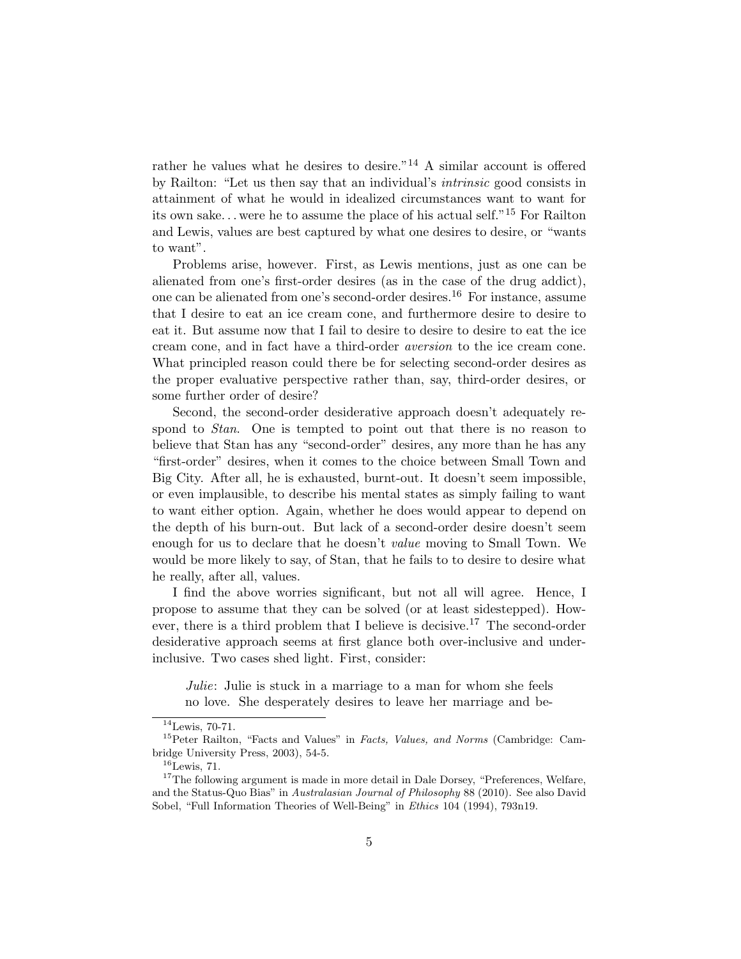rather he values what he desires to desire."<sup>14</sup> A similar account is offered by Railton: "Let us then say that an individual's intrinsic good consists in attainment of what he would in idealized circumstances want to want for its own sake... were he to assume the place of his actual self."<sup>15</sup> For Railton and Lewis, values are best captured by what one desires to desire, or "wants to want".

Problems arise, however. First, as Lewis mentions, just as one can be alienated from one's first-order desires (as in the case of the drug addict), one can be alienated from one's second-order desires.<sup>16</sup> For instance, assume that I desire to eat an ice cream cone, and furthermore desire to desire to eat it. But assume now that I fail to desire to desire to desire to eat the ice cream cone, and in fact have a third-order aversion to the ice cream cone. What principled reason could there be for selecting second-order desires as the proper evaluative perspective rather than, say, third-order desires, or some further order of desire?

Second, the second-order desiderative approach doesn't adequately respond to *Stan*. One is tempted to point out that there is no reason to believe that Stan has any "second-order" desires, any more than he has any "first-order" desires, when it comes to the choice between Small Town and Big City. After all, he is exhausted, burnt-out. It doesn't seem impossible, or even implausible, to describe his mental states as simply failing to want to want either option. Again, whether he does would appear to depend on the depth of his burn-out. But lack of a second-order desire doesn't seem enough for us to declare that he doesn't *value* moving to Small Town. We would be more likely to say, of Stan, that he fails to to desire to desire what he really, after all, values.

I find the above worries significant, but not all will agree. Hence, I propose to assume that they can be solved (or at least sidestepped). However, there is a third problem that I believe is decisive.<sup>17</sup> The second-order desiderative approach seems at first glance both over-inclusive and underinclusive. Two cases shed light. First, consider:

Julie: Julie is stuck in a marriage to a man for whom she feels no love. She desperately desires to leave her marriage and be-

 $14$ Lewis, 70-71.

<sup>&</sup>lt;sup>15</sup>Peter Railton, "Facts and Values" in Facts, Values, and Norms (Cambridge: Cambridge University Press, 2003), 54-5.

 $^{16}$ Lewis, 71.

<sup>&</sup>lt;sup>17</sup>The following argument is made in more detail in Dale Dorsey, "Preferences, Welfare, and the Status-Quo Bias" in Australasian Journal of Philosophy 88 (2010). See also David Sobel, "Full Information Theories of Well-Being" in Ethics 104 (1994), 793n19.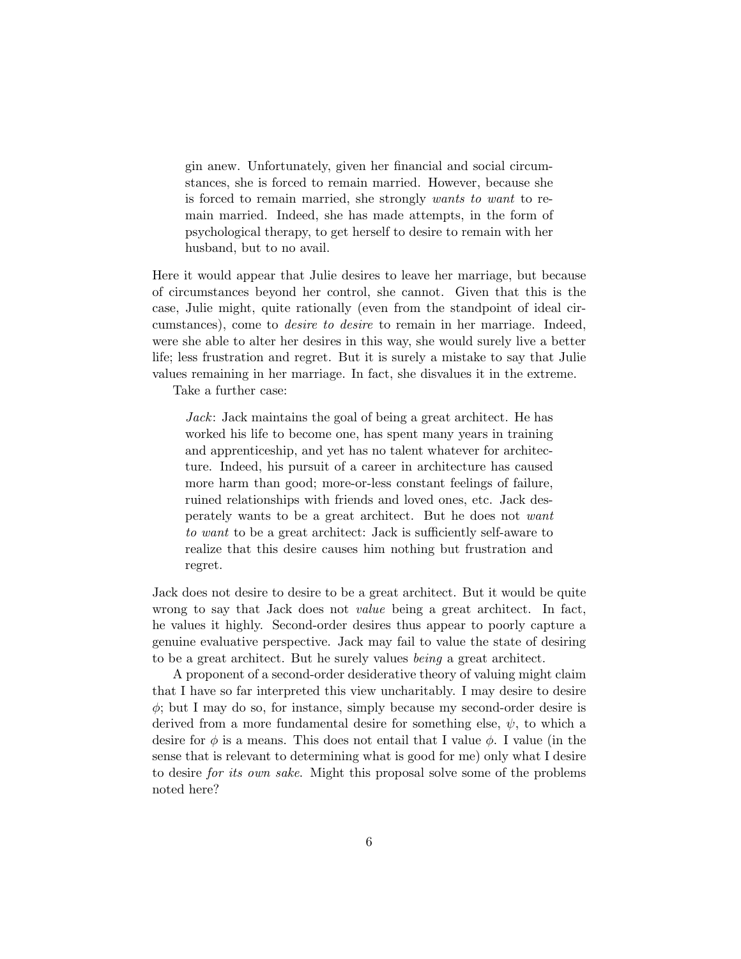gin anew. Unfortunately, given her financial and social circumstances, she is forced to remain married. However, because she is forced to remain married, she strongly wants to want to remain married. Indeed, she has made attempts, in the form of psychological therapy, to get herself to desire to remain with her husband, but to no avail.

Here it would appear that Julie desires to leave her marriage, but because of circumstances beyond her control, she cannot. Given that this is the case, Julie might, quite rationally (even from the standpoint of ideal circumstances), come to desire to desire to remain in her marriage. Indeed, were she able to alter her desires in this way, she would surely live a better life; less frustration and regret. But it is surely a mistake to say that Julie values remaining in her marriage. In fact, she disvalues it in the extreme.

Take a further case:

Jack: Jack maintains the goal of being a great architect. He has worked his life to become one, has spent many years in training and apprenticeship, and yet has no talent whatever for architecture. Indeed, his pursuit of a career in architecture has caused more harm than good; more-or-less constant feelings of failure, ruined relationships with friends and loved ones, etc. Jack desperately wants to be a great architect. But he does not want to want to be a great architect: Jack is sufficiently self-aware to realize that this desire causes him nothing but frustration and regret.

Jack does not desire to desire to be a great architect. But it would be quite wrong to say that Jack does not *value* being a great architect. In fact, he values it highly. Second-order desires thus appear to poorly capture a genuine evaluative perspective. Jack may fail to value the state of desiring to be a great architect. But he surely values being a great architect.

A proponent of a second-order desiderative theory of valuing might claim that I have so far interpreted this view uncharitably. I may desire to desire  $\phi$ ; but I may do so, for instance, simply because my second-order desire is derived from a more fundamental desire for something else,  $\psi$ , to which a desire for  $\phi$  is a means. This does not entail that I value  $\phi$ . I value (in the sense that is relevant to determining what is good for me) only what I desire to desire *for its own sake*. Might this proposal solve some of the problems noted here?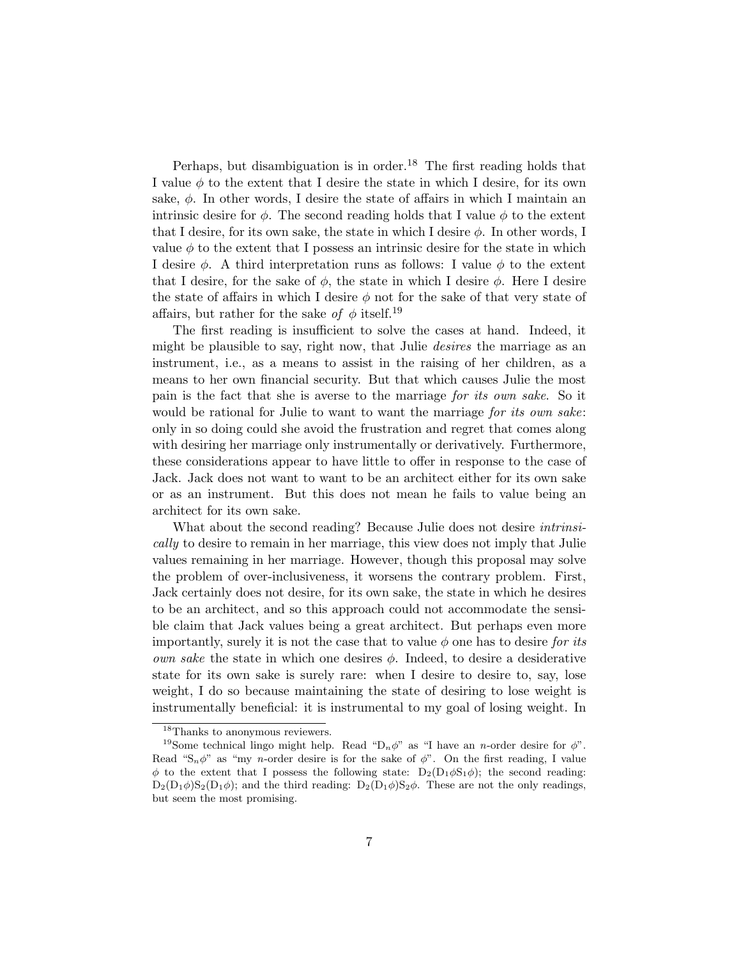Perhaps, but disambiguation is in order.<sup>18</sup> The first reading holds that I value  $\phi$  to the extent that I desire the state in which I desire, for its own sake,  $\phi$ . In other words, I desire the state of affairs in which I maintain an intrinsic desire for  $\phi$ . The second reading holds that I value  $\phi$  to the extent that I desire, for its own sake, the state in which I desire  $\phi$ . In other words, I value  $\phi$  to the extent that I possess an intrinsic desire for the state in which I desire  $\phi$ . A third interpretation runs as follows: I value  $\phi$  to the extent that I desire, for the sake of  $\phi$ , the state in which I desire  $\phi$ . Here I desire the state of affairs in which I desire  $\phi$  not for the sake of that very state of affairs, but rather for the sake of  $\phi$  itself.<sup>19</sup>

The first reading is insufficient to solve the cases at hand. Indeed, it might be plausible to say, right now, that Julie *desires* the marriage as an instrument, i.e., as a means to assist in the raising of her children, as a means to her own financial security. But that which causes Julie the most pain is the fact that she is averse to the marriage for its own sake. So it would be rational for Julie to want to want the marriage for its own sake: only in so doing could she avoid the frustration and regret that comes along with desiring her marriage only instrumentally or derivatively. Furthermore, these considerations appear to have little to offer in response to the case of Jack. Jack does not want to want to be an architect either for its own sake or as an instrument. But this does not mean he fails to value being an architect for its own sake.

What about the second reading? Because Julie does not desire *intrinsi*cally to desire to remain in her marriage, this view does not imply that Julie values remaining in her marriage. However, though this proposal may solve the problem of over-inclusiveness, it worsens the contrary problem. First, Jack certainly does not desire, for its own sake, the state in which he desires to be an architect, and so this approach could not accommodate the sensible claim that Jack values being a great architect. But perhaps even more importantly, surely it is not the case that to value  $\phi$  one has to desire for its own sake the state in which one desires  $\phi$ . Indeed, to desire a desiderative state for its own sake is surely rare: when I desire to desire to, say, lose weight, I do so because maintaining the state of desiring to lose weight is instrumentally beneficial: it is instrumental to my goal of losing weight. In

<sup>18</sup>Thanks to anonymous reviewers.

<sup>&</sup>lt;sup>19</sup>Some technical lingo might help. Read "D<sub>n</sub> $\phi$ " as "I have an n-order desire for  $\phi$ ". Read "S<sub>n</sub> $\phi$ " as "my n-order desire is for the sake of  $\phi$ ". On the first reading, I value  $\phi$  to the extent that I possess the following state:  $D_2(D_1\phi S_1\phi)$ ; the second reading:  $D_2(D_1\phi)S_2(D_1\phi)$ ; and the third reading:  $D_2(D_1\phi)S_2\phi$ . These are not the only readings, but seem the most promising.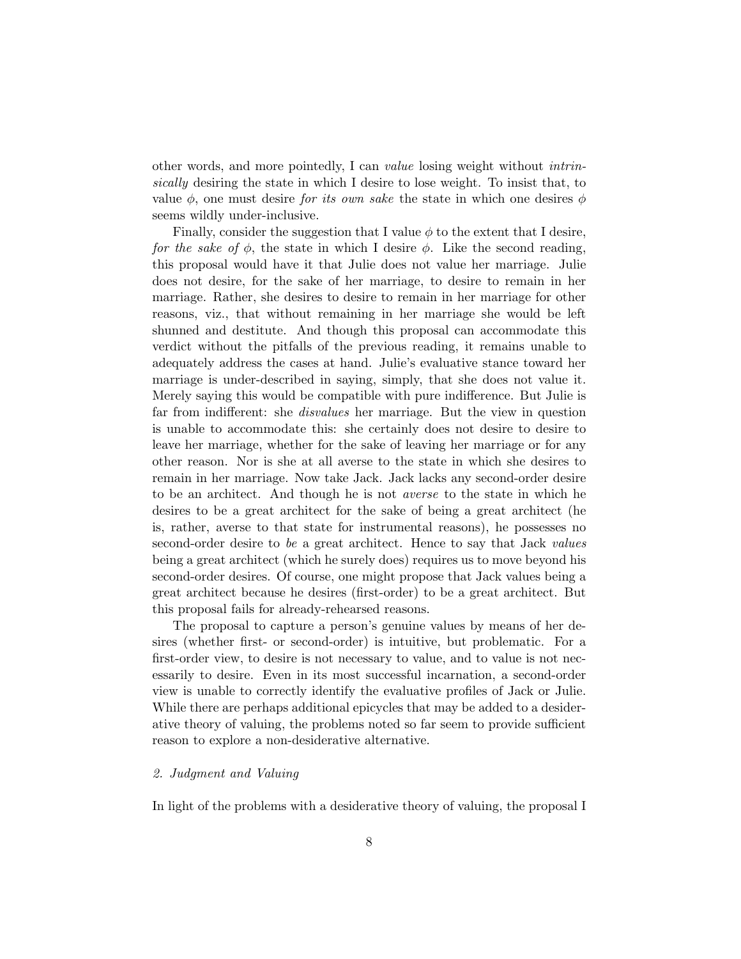other words, and more pointedly, I can value losing weight without intrinsically desiring the state in which I desire to lose weight. To insist that, to value  $\phi$ , one must desire for its own sake the state in which one desires  $\phi$ seems wildly under-inclusive.

Finally, consider the suggestion that I value  $\phi$  to the extent that I desire, for the sake of  $\phi$ , the state in which I desire  $\phi$ . Like the second reading, this proposal would have it that Julie does not value her marriage. Julie does not desire, for the sake of her marriage, to desire to remain in her marriage. Rather, she desires to desire to remain in her marriage for other reasons, viz., that without remaining in her marriage she would be left shunned and destitute. And though this proposal can accommodate this verdict without the pitfalls of the previous reading, it remains unable to adequately address the cases at hand. Julie's evaluative stance toward her marriage is under-described in saying, simply, that she does not value it. Merely saying this would be compatible with pure indifference. But Julie is far from indifferent: she disvalues her marriage. But the view in question is unable to accommodate this: she certainly does not desire to desire to leave her marriage, whether for the sake of leaving her marriage or for any other reason. Nor is she at all averse to the state in which she desires to remain in her marriage. Now take Jack. Jack lacks any second-order desire to be an architect. And though he is not averse to the state in which he desires to be a great architect for the sake of being a great architect (he is, rather, averse to that state for instrumental reasons), he possesses no second-order desire to be a great architect. Hence to say that Jack values being a great architect (which he surely does) requires us to move beyond his second-order desires. Of course, one might propose that Jack values being a great architect because he desires (first-order) to be a great architect. But this proposal fails for already-rehearsed reasons.

The proposal to capture a person's genuine values by means of her desires (whether first- or second-order) is intuitive, but problematic. For a first-order view, to desire is not necessary to value, and to value is not necessarily to desire. Even in its most successful incarnation, a second-order view is unable to correctly identify the evaluative profiles of Jack or Julie. While there are perhaps additional epicycles that may be added to a desiderative theory of valuing, the problems noted so far seem to provide sufficient reason to explore a non-desiderative alternative.

## 2. Judgment and Valuing

In light of the problems with a desiderative theory of valuing, the proposal I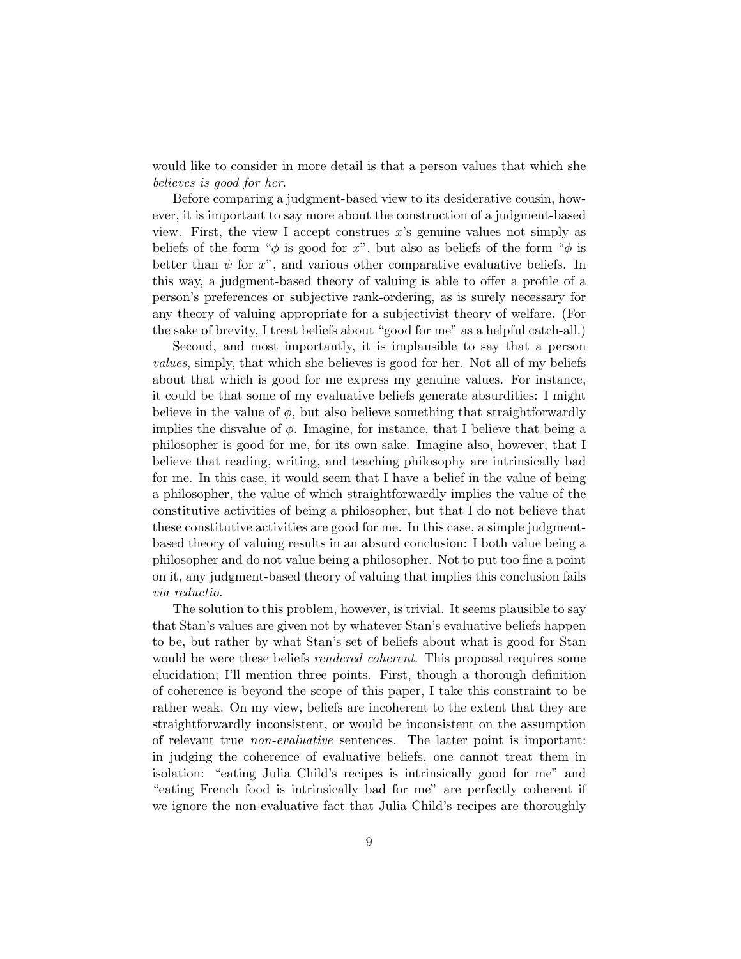would like to consider in more detail is that a person values that which she believes is good for her.

Before comparing a judgment-based view to its desiderative cousin, however, it is important to say more about the construction of a judgment-based view. First, the view I accept construes  $x$ 's genuine values not simply as beliefs of the form " $\phi$  is good for x", but also as beliefs of the form " $\phi$  is better than  $\psi$  for x", and various other comparative evaluative beliefs. In this way, a judgment-based theory of valuing is able to offer a profile of a person's preferences or subjective rank-ordering, as is surely necessary for any theory of valuing appropriate for a subjectivist theory of welfare. (For the sake of brevity, I treat beliefs about "good for me" as a helpful catch-all.)

Second, and most importantly, it is implausible to say that a person values, simply, that which she believes is good for her. Not all of my beliefs about that which is good for me express my genuine values. For instance, it could be that some of my evaluative beliefs generate absurdities: I might believe in the value of  $\phi$ , but also believe something that straightforwardly implies the disvalue of  $\phi$ . Imagine, for instance, that I believe that being a philosopher is good for me, for its own sake. Imagine also, however, that I believe that reading, writing, and teaching philosophy are intrinsically bad for me. In this case, it would seem that I have a belief in the value of being a philosopher, the value of which straightforwardly implies the value of the constitutive activities of being a philosopher, but that I do not believe that these constitutive activities are good for me. In this case, a simple judgmentbased theory of valuing results in an absurd conclusion: I both value being a philosopher and do not value being a philosopher. Not to put too fine a point on it, any judgment-based theory of valuing that implies this conclusion fails via reductio.

The solution to this problem, however, is trivial. It seems plausible to say that Stan's values are given not by whatever Stan's evaluative beliefs happen to be, but rather by what Stan's set of beliefs about what is good for Stan would be were these beliefs *rendered coherent*. This proposal requires some elucidation; I'll mention three points. First, though a thorough definition of coherence is beyond the scope of this paper, I take this constraint to be rather weak. On my view, beliefs are incoherent to the extent that they are straightforwardly inconsistent, or would be inconsistent on the assumption of relevant true non-evaluative sentences. The latter point is important: in judging the coherence of evaluative beliefs, one cannot treat them in isolation: "eating Julia Child's recipes is intrinsically good for me" and "eating French food is intrinsically bad for me" are perfectly coherent if we ignore the non-evaluative fact that Julia Child's recipes are thoroughly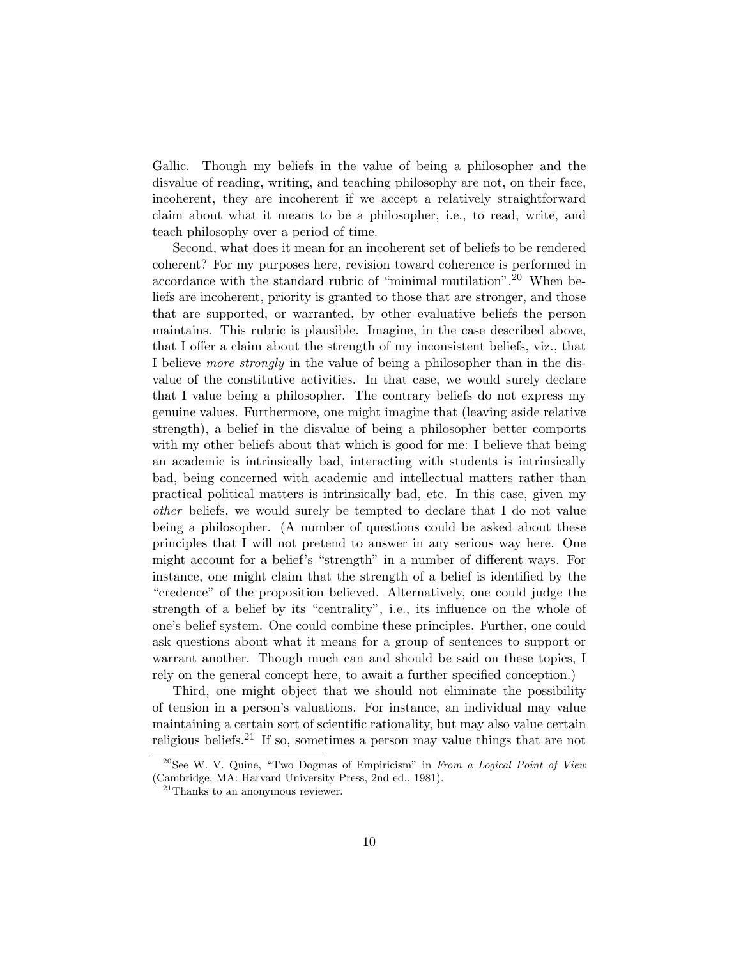Gallic. Though my beliefs in the value of being a philosopher and the disvalue of reading, writing, and teaching philosophy are not, on their face, incoherent, they are incoherent if we accept a relatively straightforward claim about what it means to be a philosopher, i.e., to read, write, and teach philosophy over a period of time.

Second, what does it mean for an incoherent set of beliefs to be rendered coherent? For my purposes here, revision toward coherence is performed in accordance with the standard rubric of "minimal mutilation".<sup>20</sup> When beliefs are incoherent, priority is granted to those that are stronger, and those that are supported, or warranted, by other evaluative beliefs the person maintains. This rubric is plausible. Imagine, in the case described above, that I offer a claim about the strength of my inconsistent beliefs, viz., that I believe more strongly in the value of being a philosopher than in the disvalue of the constitutive activities. In that case, we would surely declare that I value being a philosopher. The contrary beliefs do not express my genuine values. Furthermore, one might imagine that (leaving aside relative strength), a belief in the disvalue of being a philosopher better comports with my other beliefs about that which is good for me: I believe that being an academic is intrinsically bad, interacting with students is intrinsically bad, being concerned with academic and intellectual matters rather than practical political matters is intrinsically bad, etc. In this case, given my other beliefs, we would surely be tempted to declare that I do not value being a philosopher. (A number of questions could be asked about these principles that I will not pretend to answer in any serious way here. One might account for a belief's "strength" in a number of different ways. For instance, one might claim that the strength of a belief is identified by the "credence" of the proposition believed. Alternatively, one could judge the strength of a belief by its "centrality", i.e., its influence on the whole of one's belief system. One could combine these principles. Further, one could ask questions about what it means for a group of sentences to support or warrant another. Though much can and should be said on these topics, I rely on the general concept here, to await a further specified conception.)

Third, one might object that we should not eliminate the possibility of tension in a person's valuations. For instance, an individual may value maintaining a certain sort of scientific rationality, but may also value certain religious beliefs.<sup>21</sup> If so, sometimes a person may value things that are not

<sup>&</sup>lt;sup>20</sup>See W. V. Quine, "Two Dogmas of Empiricism" in From a Logical Point of View (Cambridge, MA: Harvard University Press, 2nd ed., 1981).

<sup>21</sup>Thanks to an anonymous reviewer.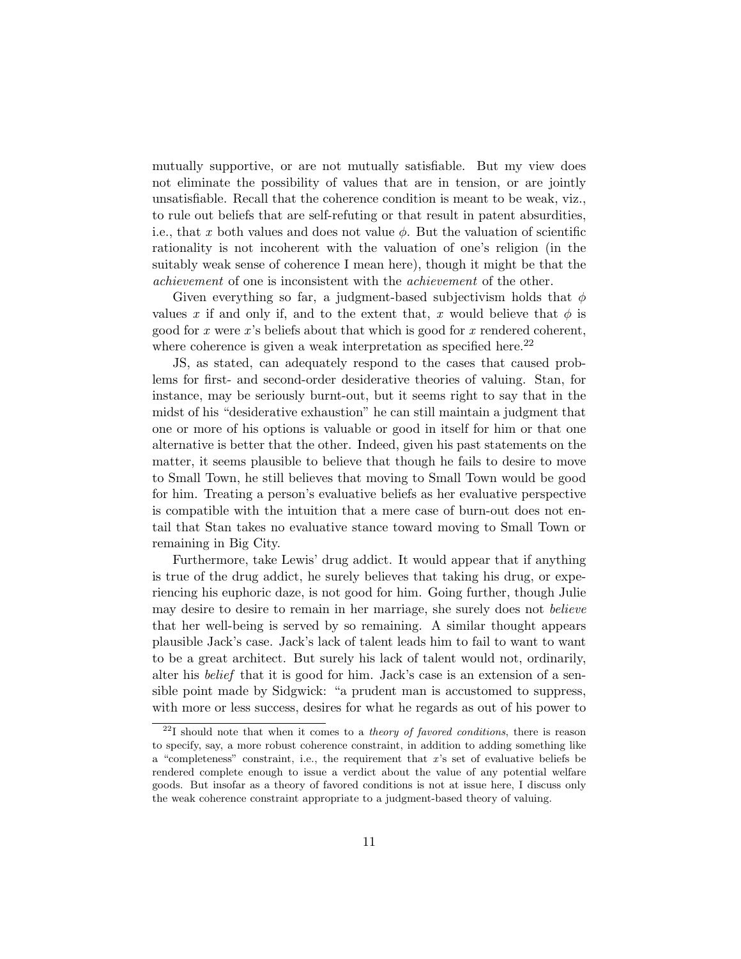mutually supportive, or are not mutually satisfiable. But my view does not eliminate the possibility of values that are in tension, or are jointly unsatisfiable. Recall that the coherence condition is meant to be weak, viz., to rule out beliefs that are self-refuting or that result in patent absurdities, i.e., that x both values and does not value  $\phi$ . But the valuation of scientific rationality is not incoherent with the valuation of one's religion (in the suitably weak sense of coherence I mean here), though it might be that the achievement of one is inconsistent with the achievement of the other.

Given everything so far, a judgment-based subjectivism holds that  $\phi$ values x if and only if, and to the extent that, x would believe that  $\phi$  is good for x were x's beliefs about that which is good for x rendered coherent, where coherence is given a weak interpretation as specified here.<sup>22</sup>

JS, as stated, can adequately respond to the cases that caused problems for first- and second-order desiderative theories of valuing. Stan, for instance, may be seriously burnt-out, but it seems right to say that in the midst of his "desiderative exhaustion" he can still maintain a judgment that one or more of his options is valuable or good in itself for him or that one alternative is better that the other. Indeed, given his past statements on the matter, it seems plausible to believe that though he fails to desire to move to Small Town, he still believes that moving to Small Town would be good for him. Treating a person's evaluative beliefs as her evaluative perspective is compatible with the intuition that a mere case of burn-out does not entail that Stan takes no evaluative stance toward moving to Small Town or remaining in Big City.

Furthermore, take Lewis' drug addict. It would appear that if anything is true of the drug addict, he surely believes that taking his drug, or experiencing his euphoric daze, is not good for him. Going further, though Julie may desire to desire to remain in her marriage, she surely does not *believe* that her well-being is served by so remaining. A similar thought appears plausible Jack's case. Jack's lack of talent leads him to fail to want to want to be a great architect. But surely his lack of talent would not, ordinarily, alter his belief that it is good for him. Jack's case is an extension of a sensible point made by Sidgwick: "a prudent man is accustomed to suppress, with more or less success, desires for what he regards as out of his power to

 $^{22}$ I should note that when it comes to a theory of favored conditions, there is reason to specify, say, a more robust coherence constraint, in addition to adding something like a "completeness" constraint, i.e., the requirement that  $x$ 's set of evaluative beliefs be rendered complete enough to issue a verdict about the value of any potential welfare goods. But insofar as a theory of favored conditions is not at issue here, I discuss only the weak coherence constraint appropriate to a judgment-based theory of valuing.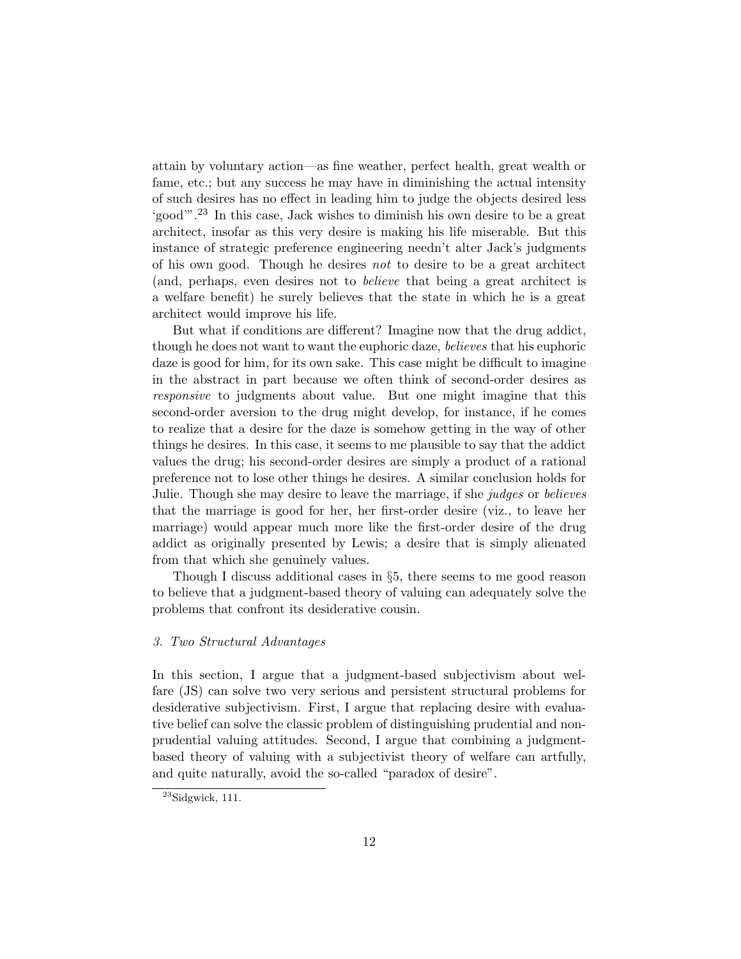attain by voluntary action—as fine weather, perfect health, great wealth or fame, etc.; but any success he may have in diminishing the actual intensity of such desires has no effect in leading him to judge the objects desired less 'good'".<sup>23</sup> In this case, Jack wishes to diminish his own desire to be a great architect, insofar as this very desire is making his life miserable. But this instance of strategic preference engineering needn't alter Jack's judgments of his own good. Though he desires not to desire to be a great architect (and, perhaps, even desires not to believe that being a great architect is a welfare benefit) he surely believes that the state in which he is a great architect would improve his life.

But what if conditions are different? Imagine now that the drug addict, though he does not want to want the euphoric daze, *believes* that his euphoric daze is good for him, for its own sake. This case might be difficult to imagine in the abstract in part because we often think of second-order desires as responsive to judgments about value. But one might imagine that this second-order aversion to the drug might develop, for instance, if he comes to realize that a desire for the daze is somehow getting in the way of other things he desires. In this case, it seems to me plausible to say that the addict values the drug; his second-order desires are simply a product of a rational preference not to lose other things he desires. A similar conclusion holds for Julie. Though she may desire to leave the marriage, if she *judges* or *believes* that the marriage is good for her, her first-order desire (viz., to leave her marriage) would appear much more like the first-order desire of the drug addict as originally presented by Lewis; a desire that is simply alienated from that which she genuinely values.

Though I discuss additional cases in §5, there seems to me good reason to believe that a judgment-based theory of valuing can adequately solve the problems that confront its desiderative cousin.

# 3. Two Structural Advantages

In this section, I argue that a judgment-based subjectivism about welfare (JS) can solve two very serious and persistent structural problems for desiderative subjectivism. First, I argue that replacing desire with evaluative belief can solve the classic problem of distinguishing prudential and nonprudential valuing attitudes. Second, I argue that combining a judgmentbased theory of valuing with a subjectivist theory of welfare can artfully, and quite naturally, avoid the so-called "paradox of desire".

 $23$ Sidgwick, 111.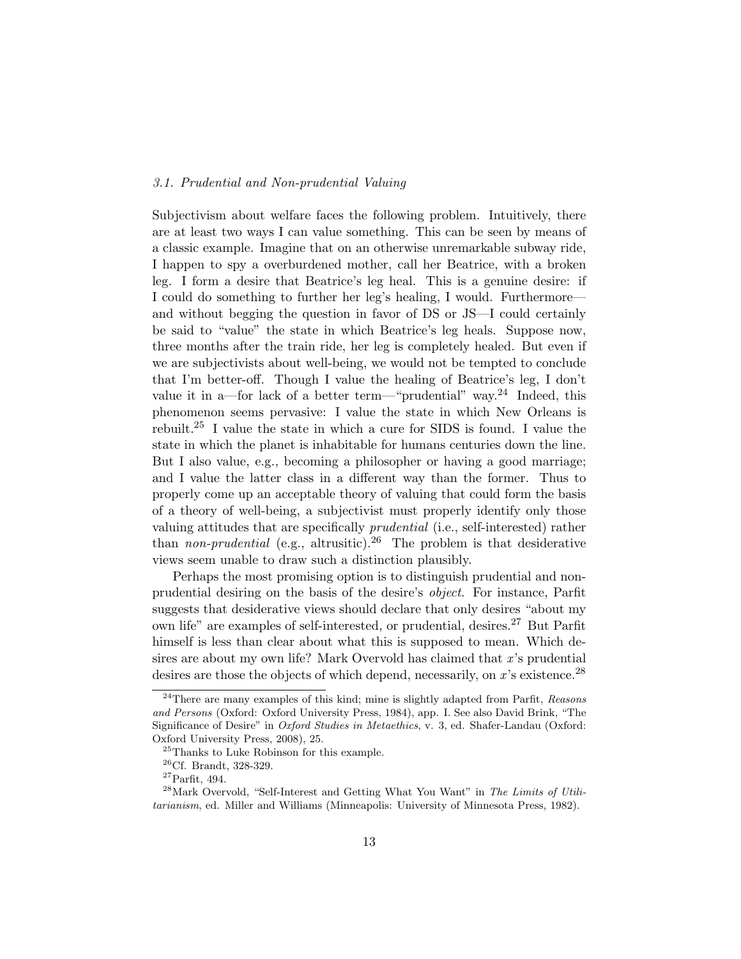# 3.1. Prudential and Non-prudential Valuing

Subjectivism about welfare faces the following problem. Intuitively, there are at least two ways I can value something. This can be seen by means of a classic example. Imagine that on an otherwise unremarkable subway ride, I happen to spy a overburdened mother, call her Beatrice, with a broken leg. I form a desire that Beatrice's leg heal. This is a genuine desire: if I could do something to further her leg's healing, I would. Furthermore and without begging the question in favor of DS or JS—I could certainly be said to "value" the state in which Beatrice's leg heals. Suppose now, three months after the train ride, her leg is completely healed. But even if we are subjectivists about well-being, we would not be tempted to conclude that I'm better-off. Though I value the healing of Beatrice's leg, I don't value it in a—for lack of a better term—"prudential" way.<sup>24</sup> Indeed, this phenomenon seems pervasive: I value the state in which New Orleans is rebuilt.<sup>25</sup> I value the state in which a cure for SIDS is found. I value the state in which the planet is inhabitable for humans centuries down the line. But I also value, e.g., becoming a philosopher or having a good marriage; and I value the latter class in a different way than the former. Thus to properly come up an acceptable theory of valuing that could form the basis of a theory of well-being, a subjectivist must properly identify only those valuing attitudes that are specifically prudential (i.e., self-interested) rather than *non-prudential* (e.g., altrusitic).<sup>26</sup> The problem is that desiderative views seem unable to draw such a distinction plausibly.

Perhaps the most promising option is to distinguish prudential and nonprudential desiring on the basis of the desire's object. For instance, Parfit suggests that desiderative views should declare that only desires "about my own life" are examples of self-interested, or prudential, desires.<sup>27</sup> But Parfit himself is less than clear about what this is supposed to mean. Which desires are about my own life? Mark Overvold has claimed that  $x$ 's prudential desires are those the objects of which depend, necessarily, on  $x$ 's existence.<sup>28</sup>

 $^{24}$ There are many examples of this kind; mine is slightly adapted from Parfit, Reasons and Persons (Oxford: Oxford University Press, 1984), app. I. See also David Brink, "The Significance of Desire" in Oxford Studies in Metaethics, v. 3, ed. Shafer-Landau (Oxford: Oxford University Press, 2008), 25.

<sup>&</sup>lt;sup>25</sup>Thanks to Luke Robinson for this example.

 $^{26}\mathrm{Cf.}$  Brandt, 328-329.

 $27$ Parfit, 494.

 $^{28}$ Mark Overvold, "Self-Interest and Getting What You Want" in The Limits of Utilitarianism, ed. Miller and Williams (Minneapolis: University of Minnesota Press, 1982).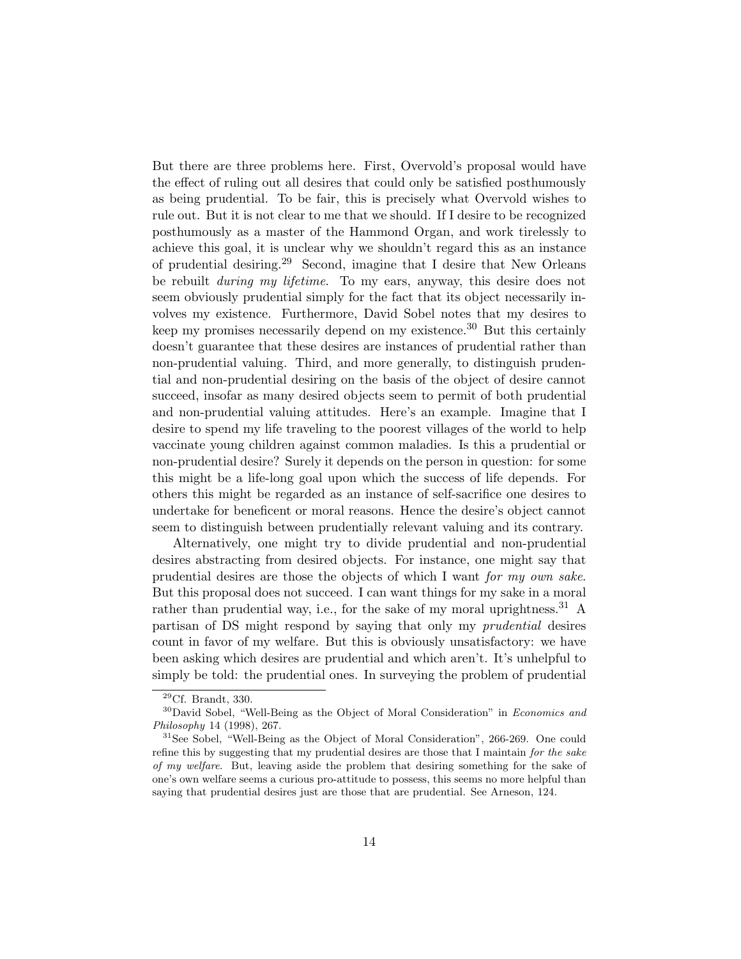But there are three problems here. First, Overvold's proposal would have the effect of ruling out all desires that could only be satisfied posthumously as being prudential. To be fair, this is precisely what Overvold wishes to rule out. But it is not clear to me that we should. If I desire to be recognized posthumously as a master of the Hammond Organ, and work tirelessly to achieve this goal, it is unclear why we shouldn't regard this as an instance of prudential desiring.<sup>29</sup> Second, imagine that I desire that New Orleans be rebuilt during my lifetime. To my ears, anyway, this desire does not seem obviously prudential simply for the fact that its object necessarily involves my existence. Furthermore, David Sobel notes that my desires to keep my promises necessarily depend on my existence.<sup>30</sup> But this certainly doesn't guarantee that these desires are instances of prudential rather than non-prudential valuing. Third, and more generally, to distinguish prudential and non-prudential desiring on the basis of the object of desire cannot succeed, insofar as many desired objects seem to permit of both prudential and non-prudential valuing attitudes. Here's an example. Imagine that I desire to spend my life traveling to the poorest villages of the world to help vaccinate young children against common maladies. Is this a prudential or non-prudential desire? Surely it depends on the person in question: for some this might be a life-long goal upon which the success of life depends. For others this might be regarded as an instance of self-sacrifice one desires to undertake for beneficent or moral reasons. Hence the desire's object cannot seem to distinguish between prudentially relevant valuing and its contrary.

Alternatively, one might try to divide prudential and non-prudential desires abstracting from desired objects. For instance, one might say that prudential desires are those the objects of which I want for my own sake. But this proposal does not succeed. I can want things for my sake in a moral rather than prudential way, i.e., for the sake of my moral uprightness.<sup>31</sup> A partisan of DS might respond by saying that only my prudential desires count in favor of my welfare. But this is obviously unsatisfactory: we have been asking which desires are prudential and which aren't. It's unhelpful to simply be told: the prudential ones. In surveying the problem of prudential

 $29$ Cf. Brandt, 330.

 $30$ David Sobel, "Well-Being as the Object of Moral Consideration" in *Economics and* Philosophy 14 (1998), 267.

<sup>&</sup>lt;sup>31</sup>See Sobel, "Well-Being as the Object of Moral Consideration", 266-269. One could refine this by suggesting that my prudential desires are those that I maintain for the sake of my welfare. But, leaving aside the problem that desiring something for the sake of one's own welfare seems a curious pro-attitude to possess, this seems no more helpful than saying that prudential desires just are those that are prudential. See Arneson, 124.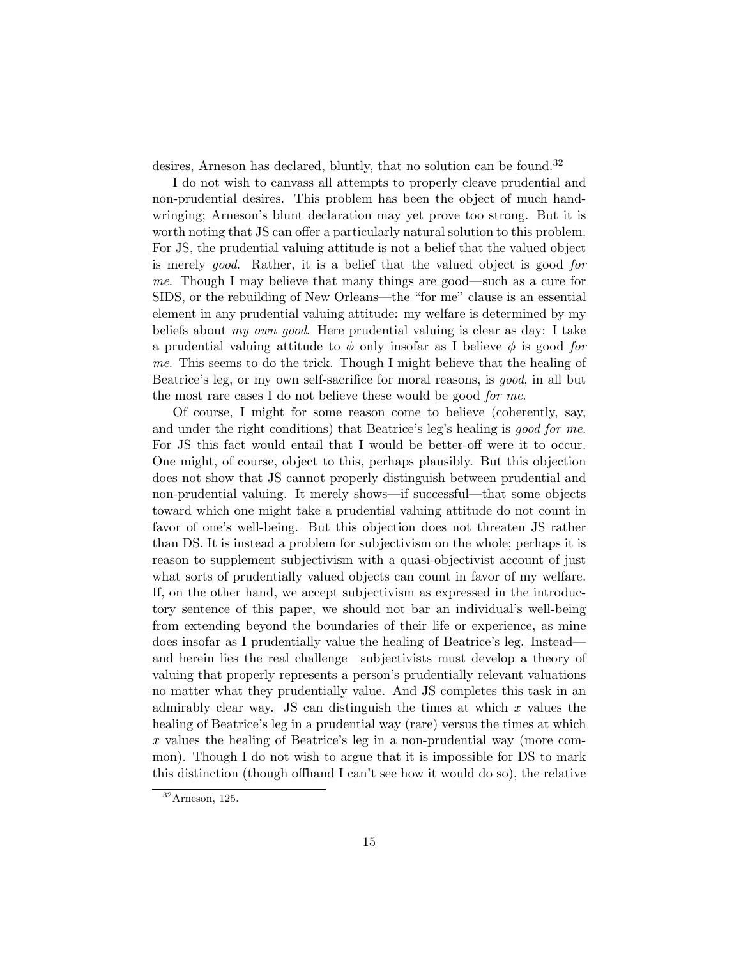desires, Arneson has declared, bluntly, that no solution can be found.<sup>32</sup>

I do not wish to canvass all attempts to properly cleave prudential and non-prudential desires. This problem has been the object of much handwringing; Arneson's blunt declaration may yet prove too strong. But it is worth noting that JS can offer a particularly natural solution to this problem. For JS, the prudential valuing attitude is not a belief that the valued object is merely good. Rather, it is a belief that the valued object is good for me. Though I may believe that many things are good—such as a cure for SIDS, or the rebuilding of New Orleans—the "for me" clause is an essential element in any prudential valuing attitude: my welfare is determined by my beliefs about my own good. Here prudential valuing is clear as day: I take a prudential valuing attitude to  $\phi$  only insofar as I believe  $\phi$  is good for me. This seems to do the trick. Though I might believe that the healing of Beatrice's leg, or my own self-sacrifice for moral reasons, is good, in all but the most rare cases I do not believe these would be good for me.

Of course, I might for some reason come to believe (coherently, say, and under the right conditions) that Beatrice's leg's healing is good for me. For JS this fact would entail that I would be better-off were it to occur. One might, of course, object to this, perhaps plausibly. But this objection does not show that JS cannot properly distinguish between prudential and non-prudential valuing. It merely shows—if successful—that some objects toward which one might take a prudential valuing attitude do not count in favor of one's well-being. But this objection does not threaten JS rather than DS. It is instead a problem for subjectivism on the whole; perhaps it is reason to supplement subjectivism with a quasi-objectivist account of just what sorts of prudentially valued objects can count in favor of my welfare. If, on the other hand, we accept subjectivism as expressed in the introductory sentence of this paper, we should not bar an individual's well-being from extending beyond the boundaries of their life or experience, as mine does insofar as I prudentially value the healing of Beatrice's leg. Instead and herein lies the real challenge—subjectivists must develop a theory of valuing that properly represents a person's prudentially relevant valuations no matter what they prudentially value. And JS completes this task in an admirably clear way. JS can distinguish the times at which  $x$  values the healing of Beatrice's leg in a prudential way (rare) versus the times at which x values the healing of Beatrice's leg in a non-prudential way (more common). Though I do not wish to argue that it is impossible for DS to mark this distinction (though offhand I can't see how it would do so), the relative

 $32$ Arneson, 125.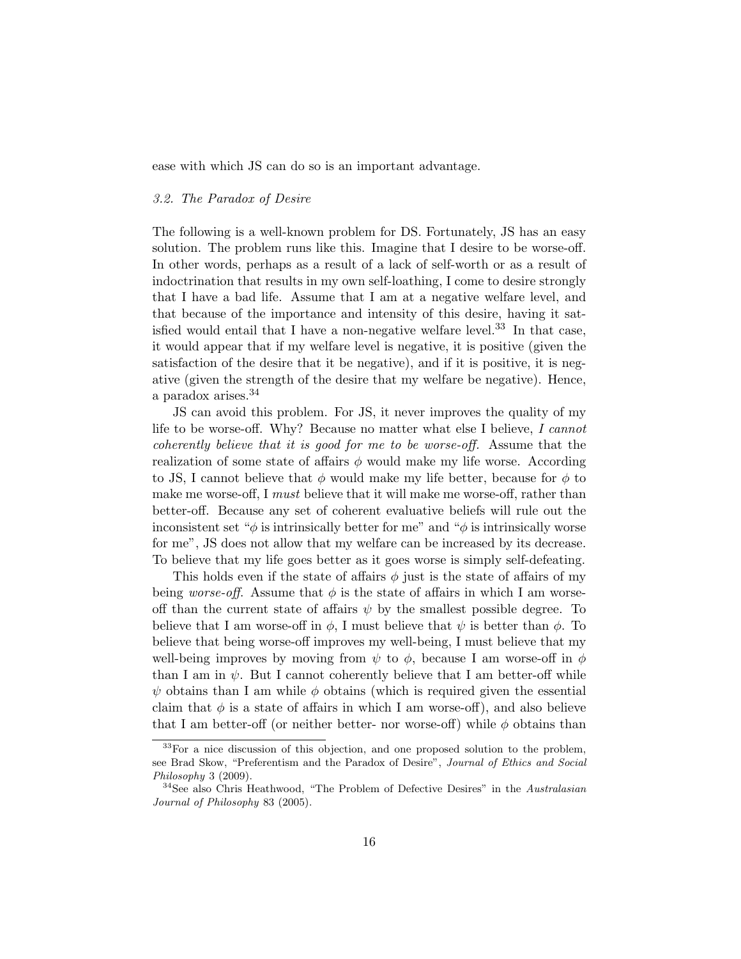ease with which JS can do so is an important advantage.

# 3.2. The Paradox of Desire

The following is a well-known problem for DS. Fortunately, JS has an easy solution. The problem runs like this. Imagine that I desire to be worse-off. In other words, perhaps as a result of a lack of self-worth or as a result of indoctrination that results in my own self-loathing, I come to desire strongly that I have a bad life. Assume that I am at a negative welfare level, and that because of the importance and intensity of this desire, having it satisfied would entail that I have a non-negative welfare level.<sup>33</sup> In that case, it would appear that if my welfare level is negative, it is positive (given the satisfaction of the desire that it be negative), and if it is positive, it is negative (given the strength of the desire that my welfare be negative). Hence, a paradox arises.<sup>34</sup>

JS can avoid this problem. For JS, it never improves the quality of my life to be worse-off. Why? Because no matter what else I believe, I cannot coherently believe that it is good for me to be worse-off. Assume that the realization of some state of affairs  $\phi$  would make my life worse. According to JS, I cannot believe that  $\phi$  would make my life better, because for  $\phi$  to make me worse-off, I *must* believe that it will make me worse-off, rather than better-off. Because any set of coherent evaluative beliefs will rule out the inconsistent set " $\phi$  is intrinsically better for me" and " $\phi$  is intrinsically worse for me", JS does not allow that my welfare can be increased by its decrease. To believe that my life goes better as it goes worse is simply self-defeating.

This holds even if the state of affairs  $\phi$  just is the state of affairs of my being worse-off. Assume that  $\phi$  is the state of affairs in which I am worseoff than the current state of affairs  $\psi$  by the smallest possible degree. To believe that I am worse-off in  $\phi$ , I must believe that  $\psi$  is better than  $\phi$ . To believe that being worse-off improves my well-being, I must believe that my well-being improves by moving from  $\psi$  to  $\phi$ , because I am worse-off in  $\phi$ than I am in  $\psi$ . But I cannot coherently believe that I am better-off while  $\psi$  obtains than I am while  $\phi$  obtains (which is required given the essential claim that  $\phi$  is a state of affairs in which I am worse-off), and also believe that I am better-off (or neither better- nor worse-off) while  $\phi$  obtains than

<sup>&</sup>lt;sup>33</sup>For a nice discussion of this objection, and one proposed solution to the problem, see Brad Skow, "Preferentism and the Paradox of Desire", Journal of Ethics and Social Philosophy 3 (2009).

<sup>&</sup>lt;sup>34</sup>See also Chris Heathwood, "The Problem of Defective Desires" in the Australasian Journal of Philosophy 83 (2005).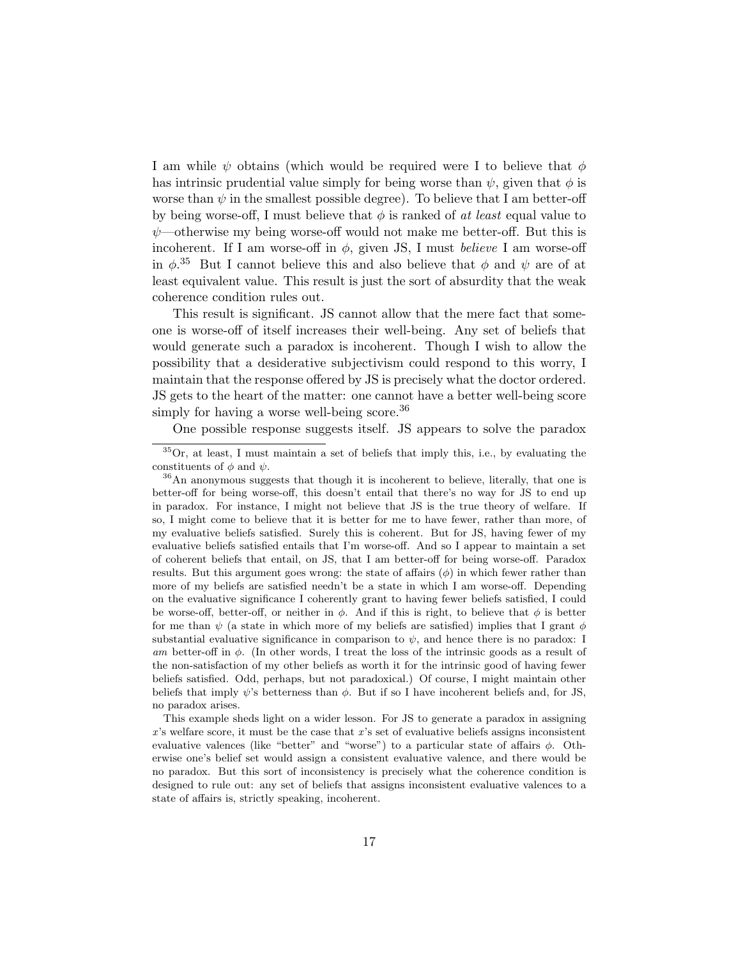I am while  $\psi$  obtains (which would be required were I to believe that  $\phi$ has intrinsic prudential value simply for being worse than  $\psi$ , given that  $\phi$  is worse than  $\psi$  in the smallest possible degree). To believe that I am better-off by being worse-off, I must believe that  $\phi$  is ranked of *at least* equal value to  $\psi$ —otherwise my being worse-off would not make me better-off. But this is incoherent. If I am worse-off in  $\phi$ , given JS, I must *believe* I am worse-off in  $\phi$ <sup>35</sup> But I cannot believe this and also believe that  $\phi$  and  $\psi$  are of at least equivalent value. This result is just the sort of absurdity that the weak coherence condition rules out.

This result is significant. JS cannot allow that the mere fact that someone is worse-off of itself increases their well-being. Any set of beliefs that would generate such a paradox is incoherent. Though I wish to allow the possibility that a desiderative subjectivism could respond to this worry, I maintain that the response offered by JS is precisely what the doctor ordered. JS gets to the heart of the matter: one cannot have a better well-being score simply for having a worse well-being score.<sup>36</sup>

One possible response suggests itself. JS appears to solve the paradox

<sup>35</sup>Or, at least, I must maintain a set of beliefs that imply this, i.e., by evaluating the constituents of  $\phi$  and  $\psi$ .

<sup>36</sup>An anonymous suggests that though it is incoherent to believe, literally, that one is better-off for being worse-off, this doesn't entail that there's no way for JS to end up in paradox. For instance, I might not believe that JS is the true theory of welfare. If so, I might come to believe that it is better for me to have fewer, rather than more, of my evaluative beliefs satisfied. Surely this is coherent. But for JS, having fewer of my evaluative beliefs satisfied entails that I'm worse-off. And so I appear to maintain a set of coherent beliefs that entail, on JS, that I am better-off for being worse-off. Paradox results. But this argument goes wrong: the state of affairs  $(\phi)$  in which fewer rather than more of my beliefs are satisfied needn't be a state in which I am worse-off. Depending on the evaluative significance I coherently grant to having fewer beliefs satisfied, I could be worse-off, better-off, or neither in  $\phi$ . And if this is right, to believe that  $\phi$  is better for me than  $\psi$  (a state in which more of my beliefs are satisfied) implies that I grant  $\phi$ substantial evaluative significance in comparison to  $\psi$ , and hence there is no paradox: I am better-off in  $\phi$ . (In other words, I treat the loss of the intrinsic goods as a result of the non-satisfaction of my other beliefs as worth it for the intrinsic good of having fewer beliefs satisfied. Odd, perhaps, but not paradoxical.) Of course, I might maintain other beliefs that imply  $\psi$ 's betterness than  $\phi$ . But if so I have incoherent beliefs and, for JS, no paradox arises.

This example sheds light on a wider lesson. For JS to generate a paradox in assigning  $x$ 's welfare score, it must be the case that  $x$ 's set of evaluative beliefs assigns inconsistent evaluative valences (like "better" and "worse") to a particular state of affairs  $\phi$ . Otherwise one's belief set would assign a consistent evaluative valence, and there would be no paradox. But this sort of inconsistency is precisely what the coherence condition is designed to rule out: any set of beliefs that assigns inconsistent evaluative valences to a state of affairs is, strictly speaking, incoherent.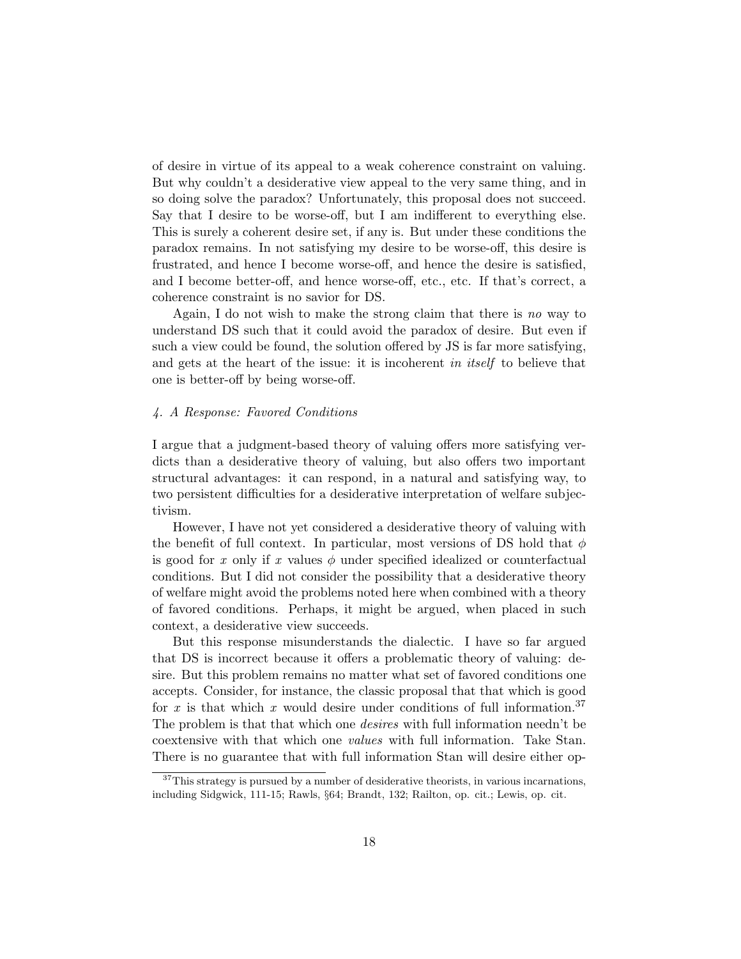of desire in virtue of its appeal to a weak coherence constraint on valuing. But why couldn't a desiderative view appeal to the very same thing, and in so doing solve the paradox? Unfortunately, this proposal does not succeed. Say that I desire to be worse-off, but I am indifferent to everything else. This is surely a coherent desire set, if any is. But under these conditions the paradox remains. In not satisfying my desire to be worse-off, this desire is frustrated, and hence I become worse-off, and hence the desire is satisfied, and I become better-off, and hence worse-off, etc., etc. If that's correct, a coherence constraint is no savior for DS.

Again, I do not wish to make the strong claim that there is no way to understand DS such that it could avoid the paradox of desire. But even if such a view could be found, the solution offered by JS is far more satisfying, and gets at the heart of the issue: it is incoherent in itself to believe that one is better-off by being worse-off.

# 4. A Response: Favored Conditions

I argue that a judgment-based theory of valuing offers more satisfying verdicts than a desiderative theory of valuing, but also offers two important structural advantages: it can respond, in a natural and satisfying way, to two persistent difficulties for a desiderative interpretation of welfare subjectivism.

However, I have not yet considered a desiderative theory of valuing with the benefit of full context. In particular, most versions of DS hold that  $\phi$ is good for x only if x values  $\phi$  under specified idealized or counterfactual conditions. But I did not consider the possibility that a desiderative theory of welfare might avoid the problems noted here when combined with a theory of favored conditions. Perhaps, it might be argued, when placed in such context, a desiderative view succeeds.

But this response misunderstands the dialectic. I have so far argued that DS is incorrect because it offers a problematic theory of valuing: desire. But this problem remains no matter what set of favored conditions one accepts. Consider, for instance, the classic proposal that that which is good for x is that which x would desire under conditions of full information.<sup>37</sup> The problem is that that which one desires with full information needn't be coextensive with that which one values with full information. Take Stan. There is no guarantee that with full information Stan will desire either op-

 $37$ This strategy is pursued by a number of desiderative theorists, in various incarnations, including Sidgwick, 111-15; Rawls, §64; Brandt, 132; Railton, op. cit.; Lewis, op. cit.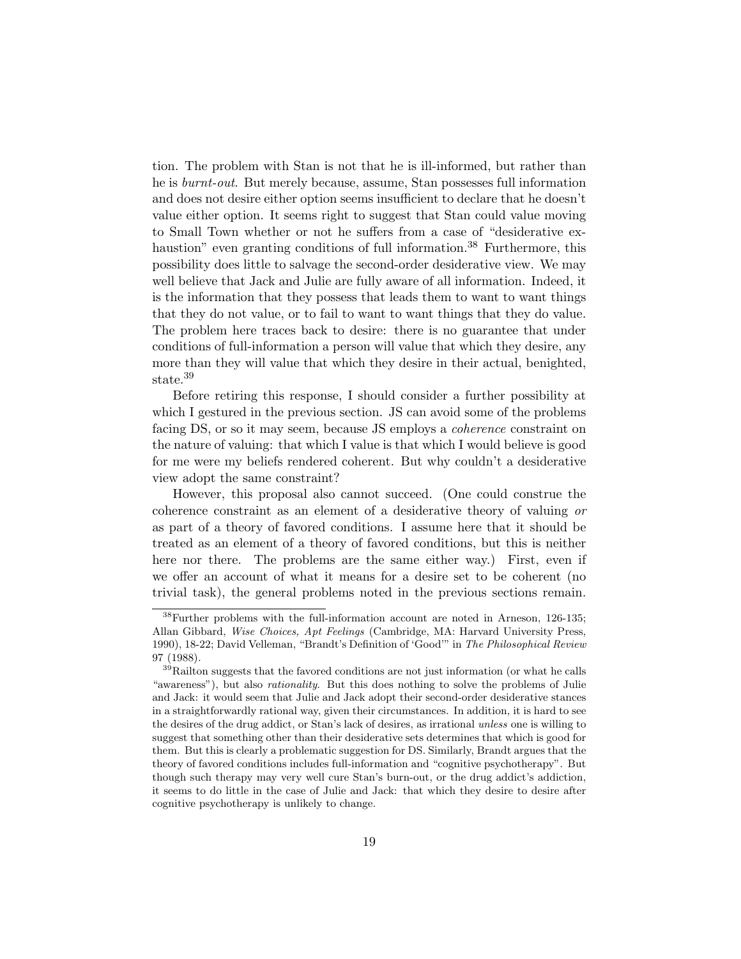tion. The problem with Stan is not that he is ill-informed, but rather than he is burnt-out. But merely because, assume, Stan possesses full information and does not desire either option seems insufficient to declare that he doesn't value either option. It seems right to suggest that Stan could value moving to Small Town whether or not he suffers from a case of "desiderative exhaustion" even granting conditions of full information.<sup>38</sup> Furthermore, this possibility does little to salvage the second-order desiderative view. We may well believe that Jack and Julie are fully aware of all information. Indeed, it is the information that they possess that leads them to want to want things that they do not value, or to fail to want to want things that they do value. The problem here traces back to desire: there is no guarantee that under conditions of full-information a person will value that which they desire, any more than they will value that which they desire in their actual, benighted, state.<sup>39</sup>

Before retiring this response, I should consider a further possibility at which I gestured in the previous section. JS can avoid some of the problems facing DS, or so it may seem, because JS employs a *coherence* constraint on the nature of valuing: that which I value is that which I would believe is good for me were my beliefs rendered coherent. But why couldn't a desiderative view adopt the same constraint?

However, this proposal also cannot succeed. (One could construe the coherence constraint as an element of a desiderative theory of valuing or as part of a theory of favored conditions. I assume here that it should be treated as an element of a theory of favored conditions, but this is neither here nor there. The problems are the same either way.) First, even if we offer an account of what it means for a desire set to be coherent (no trivial task), the general problems noted in the previous sections remain.

<sup>38</sup>Further problems with the full-information account are noted in Arneson, 126-135; Allan Gibbard, Wise Choices, Apt Feelings (Cambridge, MA: Harvard University Press, 1990), 18-22; David Velleman, "Brandt's Definition of 'Good'" in The Philosophical Review 97 (1988).

 $39$ Railton suggests that the favored conditions are not just information (or what he calls "awareness"), but also *rationality*. But this does nothing to solve the problems of Julie and Jack: it would seem that Julie and Jack adopt their second-order desiderative stances in a straightforwardly rational way, given their circumstances. In addition, it is hard to see the desires of the drug addict, or Stan's lack of desires, as irrational unless one is willing to suggest that something other than their desiderative sets determines that which is good for them. But this is clearly a problematic suggestion for DS. Similarly, Brandt argues that the theory of favored conditions includes full-information and "cognitive psychotherapy". But though such therapy may very well cure Stan's burn-out, or the drug addict's addiction, it seems to do little in the case of Julie and Jack: that which they desire to desire after cognitive psychotherapy is unlikely to change.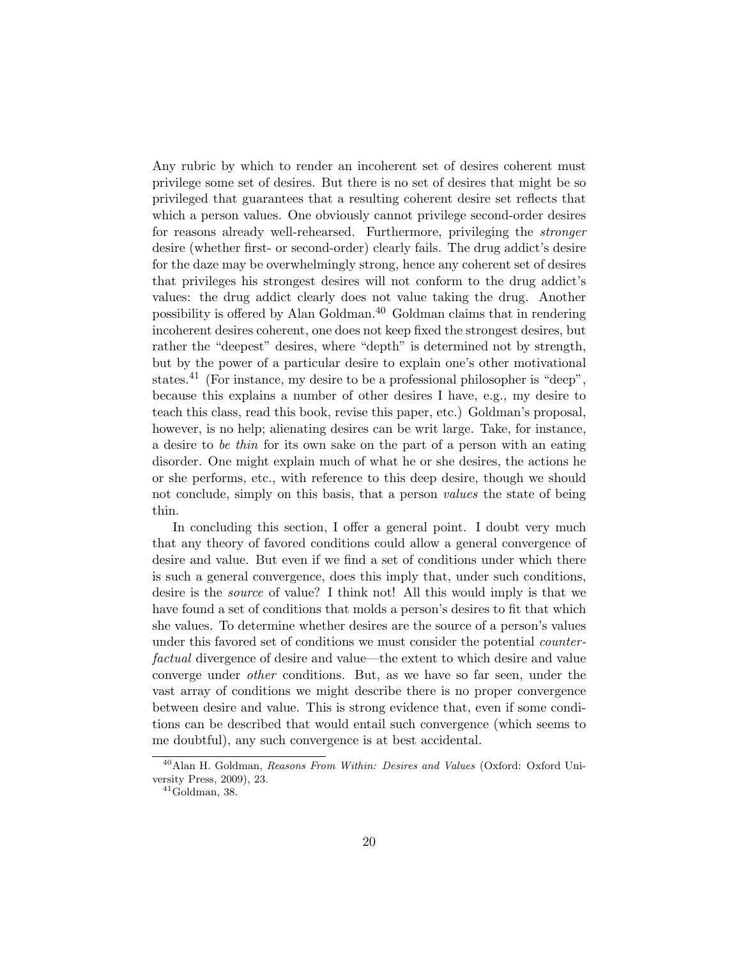Any rubric by which to render an incoherent set of desires coherent must privilege some set of desires. But there is no set of desires that might be so privileged that guarantees that a resulting coherent desire set reflects that which a person values. One obviously cannot privilege second-order desires for reasons already well-rehearsed. Furthermore, privileging the stronger desire (whether first- or second-order) clearly fails. The drug addict's desire for the daze may be overwhelmingly strong, hence any coherent set of desires that privileges his strongest desires will not conform to the drug addict's values: the drug addict clearly does not value taking the drug. Another possibility is offered by Alan Goldman.<sup>40</sup> Goldman claims that in rendering incoherent desires coherent, one does not keep fixed the strongest desires, but rather the "deepest" desires, where "depth" is determined not by strength, but by the power of a particular desire to explain one's other motivational states.<sup>41</sup> (For instance, my desire to be a professional philosopher is "deep", because this explains a number of other desires I have, e.g., my desire to teach this class, read this book, revise this paper, etc.) Goldman's proposal, however, is no help; alienating desires can be writ large. Take, for instance, a desire to be thin for its own sake on the part of a person with an eating disorder. One might explain much of what he or she desires, the actions he or she performs, etc., with reference to this deep desire, though we should not conclude, simply on this basis, that a person *values* the state of being thin.

In concluding this section, I offer a general point. I doubt very much that any theory of favored conditions could allow a general convergence of desire and value. But even if we find a set of conditions under which there is such a general convergence, does this imply that, under such conditions, desire is the *source* of value? I think not! All this would imply is that we have found a set of conditions that molds a person's desires to fit that which she values. To determine whether desires are the source of a person's values under this favored set of conditions we must consider the potential *counter*factual divergence of desire and value—the extent to which desire and value converge under other conditions. But, as we have so far seen, under the vast array of conditions we might describe there is no proper convergence between desire and value. This is strong evidence that, even if some conditions can be described that would entail such convergence (which seems to me doubtful), any such convergence is at best accidental.

<sup>&</sup>lt;sup>40</sup>Alan H. Goldman, Reasons From Within: Desires and Values (Oxford: Oxford University Press, 2009), 23.

 $^{41}$  Goldman, 38.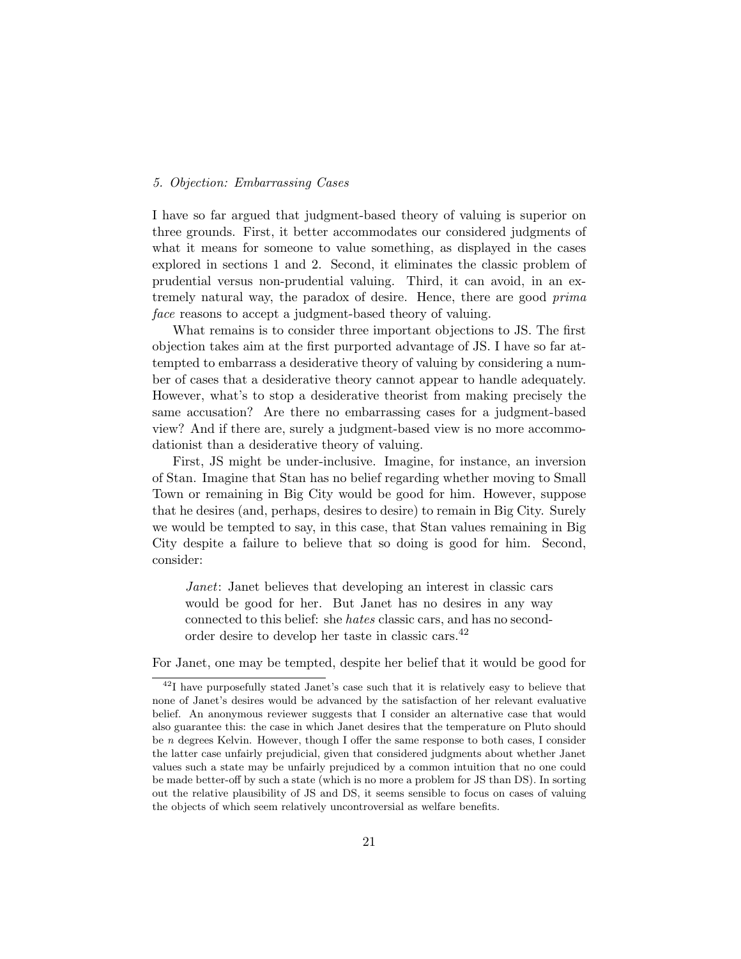# 5. Objection: Embarrassing Cases

I have so far argued that judgment-based theory of valuing is superior on three grounds. First, it better accommodates our considered judgments of what it means for someone to value something, as displayed in the cases explored in sections 1 and 2. Second, it eliminates the classic problem of prudential versus non-prudential valuing. Third, it can avoid, in an extremely natural way, the paradox of desire. Hence, there are good prima face reasons to accept a judgment-based theory of valuing.

What remains is to consider three important objections to JS. The first objection takes aim at the first purported advantage of JS. I have so far attempted to embarrass a desiderative theory of valuing by considering a number of cases that a desiderative theory cannot appear to handle adequately. However, what's to stop a desiderative theorist from making precisely the same accusation? Are there no embarrassing cases for a judgment-based view? And if there are, surely a judgment-based view is no more accommodationist than a desiderative theory of valuing.

First, JS might be under-inclusive. Imagine, for instance, an inversion of Stan. Imagine that Stan has no belief regarding whether moving to Small Town or remaining in Big City would be good for him. However, suppose that he desires (and, perhaps, desires to desire) to remain in Big City. Surely we would be tempted to say, in this case, that Stan values remaining in Big City despite a failure to believe that so doing is good for him. Second, consider:

Janet: Janet believes that developing an interest in classic cars would be good for her. But Janet has no desires in any way connected to this belief: she hates classic cars, and has no secondorder desire to develop her taste in classic cars.<sup>42</sup>

For Janet, one may be tempted, despite her belief that it would be good for

 $42$ I have purposefully stated Janet's case such that it is relatively easy to believe that none of Janet's desires would be advanced by the satisfaction of her relevant evaluative belief. An anonymous reviewer suggests that I consider an alternative case that would also guarantee this: the case in which Janet desires that the temperature on Pluto should be n degrees Kelvin. However, though I offer the same response to both cases, I consider the latter case unfairly prejudicial, given that considered judgments about whether Janet values such a state may be unfairly prejudiced by a common intuition that no one could be made better-off by such a state (which is no more a problem for JS than DS). In sorting out the relative plausibility of JS and DS, it seems sensible to focus on cases of valuing the objects of which seem relatively uncontroversial as welfare benefits.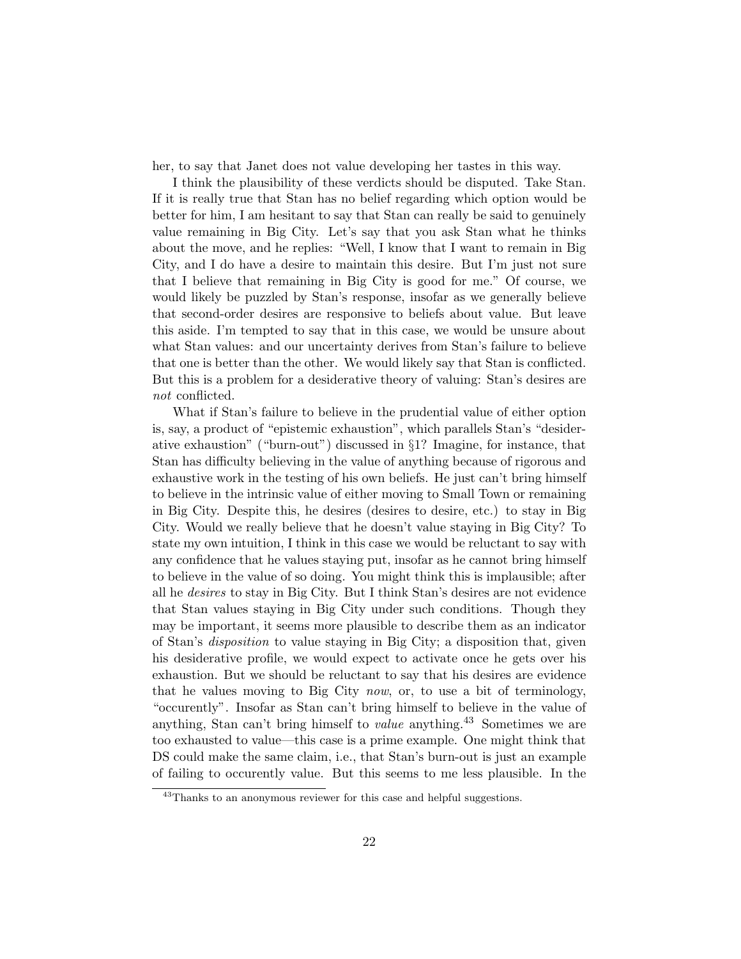her, to say that Janet does not value developing her tastes in this way.

I think the plausibility of these verdicts should be disputed. Take Stan. If it is really true that Stan has no belief regarding which option would be better for him, I am hesitant to say that Stan can really be said to genuinely value remaining in Big City. Let's say that you ask Stan what he thinks about the move, and he replies: "Well, I know that I want to remain in Big City, and I do have a desire to maintain this desire. But I'm just not sure that I believe that remaining in Big City is good for me." Of course, we would likely be puzzled by Stan's response, insofar as we generally believe that second-order desires are responsive to beliefs about value. But leave this aside. I'm tempted to say that in this case, we would be unsure about what Stan values: and our uncertainty derives from Stan's failure to believe that one is better than the other. We would likely say that Stan is conflicted. But this is a problem for a desiderative theory of valuing: Stan's desires are not conflicted.

What if Stan's failure to believe in the prudential value of either option is, say, a product of "epistemic exhaustion", which parallels Stan's "desiderative exhaustion" ("burn-out") discussed in §1? Imagine, for instance, that Stan has difficulty believing in the value of anything because of rigorous and exhaustive work in the testing of his own beliefs. He just can't bring himself to believe in the intrinsic value of either moving to Small Town or remaining in Big City. Despite this, he desires (desires to desire, etc.) to stay in Big City. Would we really believe that he doesn't value staying in Big City? To state my own intuition, I think in this case we would be reluctant to say with any confidence that he values staying put, insofar as he cannot bring himself to believe in the value of so doing. You might think this is implausible; after all he desires to stay in Big City. But I think Stan's desires are not evidence that Stan values staying in Big City under such conditions. Though they may be important, it seems more plausible to describe them as an indicator of Stan's disposition to value staying in Big City; a disposition that, given his desiderative profile, we would expect to activate once he gets over his exhaustion. But we should be reluctant to say that his desires are evidence that he values moving to Big City now, or, to use a bit of terminology, "occurently". Insofar as Stan can't bring himself to believe in the value of anything, Stan can't bring himself to *value* anything.<sup>43</sup> Sometimes we are too exhausted to value—this case is a prime example. One might think that DS could make the same claim, i.e., that Stan's burn-out is just an example of failing to occurently value. But this seems to me less plausible. In the

<sup>&</sup>lt;sup>43</sup>Thanks to an anonymous reviewer for this case and helpful suggestions.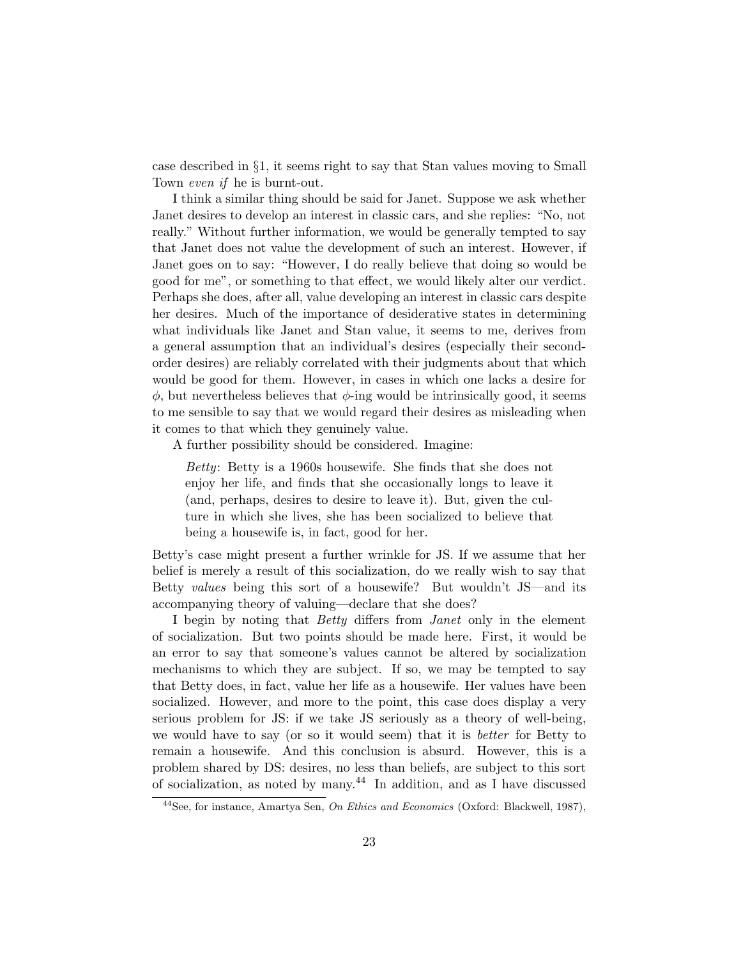case described in §1, it seems right to say that Stan values moving to Small Town *even* if he is burnt-out.

I think a similar thing should be said for Janet. Suppose we ask whether Janet desires to develop an interest in classic cars, and she replies: "No, not really." Without further information, we would be generally tempted to say that Janet does not value the development of such an interest. However, if Janet goes on to say: "However, I do really believe that doing so would be good for me", or something to that effect, we would likely alter our verdict. Perhaps she does, after all, value developing an interest in classic cars despite her desires. Much of the importance of desiderative states in determining what individuals like Janet and Stan value, it seems to me, derives from a general assumption that an individual's desires (especially their secondorder desires) are reliably correlated with their judgments about that which would be good for them. However, in cases in which one lacks a desire for  $\phi$ , but nevertheless believes that  $\phi$ -ing would be intrinsically good, it seems to me sensible to say that we would regard their desires as misleading when it comes to that which they genuinely value.

A further possibility should be considered. Imagine:

Betty: Betty is a 1960s housewife. She finds that she does not enjoy her life, and finds that she occasionally longs to leave it (and, perhaps, desires to desire to leave it). But, given the culture in which she lives, she has been socialized to believe that being a housewife is, in fact, good for her.

Betty's case might present a further wrinkle for JS. If we assume that her belief is merely a result of this socialization, do we really wish to say that Betty values being this sort of a housewife? But wouldn't JS—and its accompanying theory of valuing—declare that she does?

I begin by noting that Betty differs from Janet only in the element of socialization. But two points should be made here. First, it would be an error to say that someone's values cannot be altered by socialization mechanisms to which they are subject. If so, we may be tempted to say that Betty does, in fact, value her life as a housewife. Her values have been socialized. However, and more to the point, this case does display a very serious problem for JS: if we take JS seriously as a theory of well-being, we would have to say (or so it would seem) that it is better for Betty to remain a housewife. And this conclusion is absurd. However, this is a problem shared by DS: desires, no less than beliefs, are subject to this sort of socialization, as noted by many.<sup>44</sup> In addition, and as I have discussed

<sup>44</sup>See, for instance, Amartya Sen, On Ethics and Economics (Oxford: Blackwell, 1987),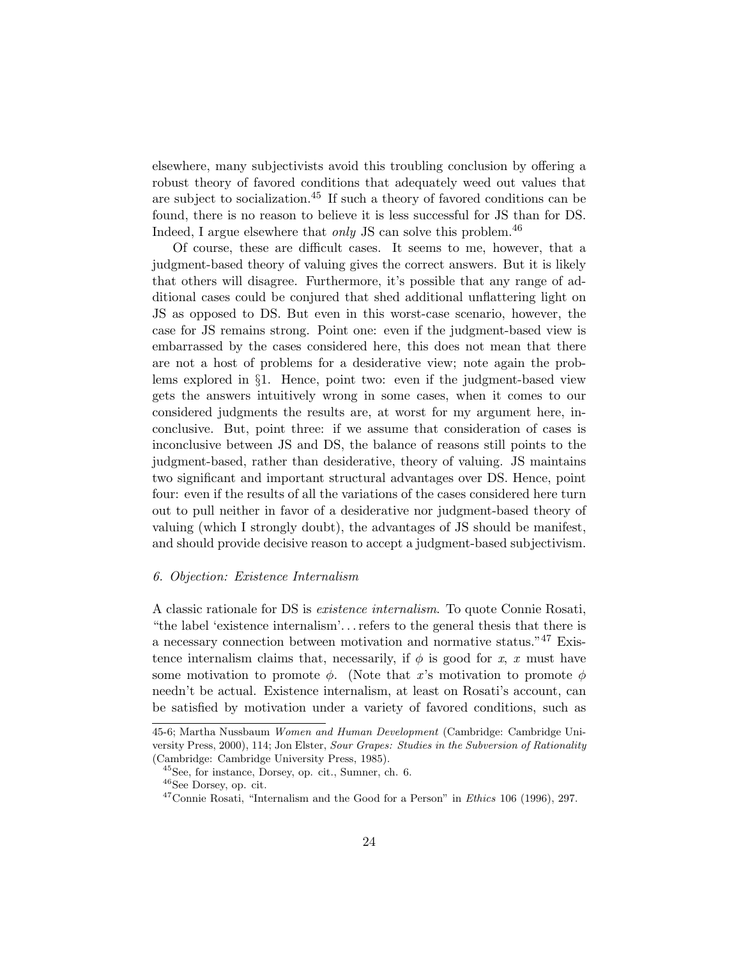elsewhere, many subjectivists avoid this troubling conclusion by offering a robust theory of favored conditions that adequately weed out values that are subject to socialization.<sup>45</sup> If such a theory of favored conditions can be found, there is no reason to believe it is less successful for JS than for DS. Indeed, I argue elsewhere that only JS can solve this problem.<sup>46</sup>

Of course, these are difficult cases. It seems to me, however, that a judgment-based theory of valuing gives the correct answers. But it is likely that others will disagree. Furthermore, it's possible that any range of additional cases could be conjured that shed additional unflattering light on JS as opposed to DS. But even in this worst-case scenario, however, the case for JS remains strong. Point one: even if the judgment-based view is embarrassed by the cases considered here, this does not mean that there are not a host of problems for a desiderative view; note again the problems explored in §1. Hence, point two: even if the judgment-based view gets the answers intuitively wrong in some cases, when it comes to our considered judgments the results are, at worst for my argument here, inconclusive. But, point three: if we assume that consideration of cases is inconclusive between JS and DS, the balance of reasons still points to the judgment-based, rather than desiderative, theory of valuing. JS maintains two significant and important structural advantages over DS. Hence, point four: even if the results of all the variations of the cases considered here turn out to pull neither in favor of a desiderative nor judgment-based theory of valuing (which I strongly doubt), the advantages of JS should be manifest, and should provide decisive reason to accept a judgment-based subjectivism.

## 6. Objection: Existence Internalism

A classic rationale for DS is existence internalism. To quote Connie Rosati, "the label 'existence internalism'. . . refers to the general thesis that there is a necessary connection between motivation and normative status."<sup>47</sup> Existence internalism claims that, necessarily, if  $\phi$  is good for x, x must have some motivation to promote  $\phi$ . (Note that x's motivation to promote  $\phi$ needn't be actual. Existence internalism, at least on Rosati's account, can be satisfied by motivation under a variety of favored conditions, such as

<sup>45-6;</sup> Martha Nussbaum Women and Human Development (Cambridge: Cambridge University Press, 2000), 114; Jon Elster, Sour Grapes: Studies in the Subversion of Rationality (Cambridge: Cambridge University Press, 1985).

<sup>45</sup>See, for instance, Dorsey, op. cit., Sumner, ch. 6.

<sup>46</sup>See Dorsey, op. cit.

 $47$ Connie Rosati, "Internalism and the Good for a Person" in *Ethics* 106 (1996), 297.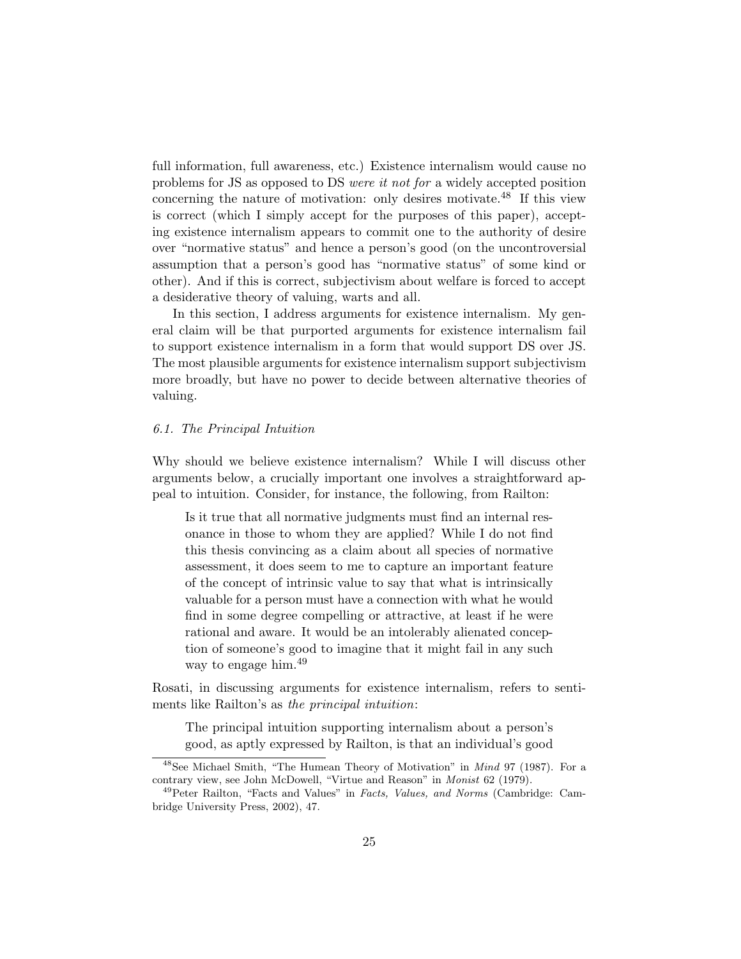full information, full awareness, etc.) Existence internalism would cause no problems for JS as opposed to DS were it not for a widely accepted position concerning the nature of motivation: only desires motivate. $48$  If this view is correct (which I simply accept for the purposes of this paper), accepting existence internalism appears to commit one to the authority of desire over "normative status" and hence a person's good (on the uncontroversial assumption that a person's good has "normative status" of some kind or other). And if this is correct, subjectivism about welfare is forced to accept a desiderative theory of valuing, warts and all.

In this section, I address arguments for existence internalism. My general claim will be that purported arguments for existence internalism fail to support existence internalism in a form that would support DS over JS. The most plausible arguments for existence internalism support subjectivism more broadly, but have no power to decide between alternative theories of valuing.

## 6.1. The Principal Intuition

Why should we believe existence internalism? While I will discuss other arguments below, a crucially important one involves a straightforward appeal to intuition. Consider, for instance, the following, from Railton:

Is it true that all normative judgments must find an internal resonance in those to whom they are applied? While I do not find this thesis convincing as a claim about all species of normative assessment, it does seem to me to capture an important feature of the concept of intrinsic value to say that what is intrinsically valuable for a person must have a connection with what he would find in some degree compelling or attractive, at least if he were rational and aware. It would be an intolerably alienated conception of someone's good to imagine that it might fail in any such way to engage him.<sup>49</sup>

Rosati, in discussing arguments for existence internalism, refers to sentiments like Railton's as the principal intuition:

The principal intuition supporting internalism about a person's good, as aptly expressed by Railton, is that an individual's good

<sup>48</sup>See Michael Smith, "The Humean Theory of Motivation" in Mind 97 (1987). For a contrary view, see John McDowell, "Virtue and Reason" in Monist 62 (1979).

<sup>49</sup>Peter Railton, "Facts and Values" in Facts, Values, and Norms (Cambridge: Cambridge University Press, 2002), 47.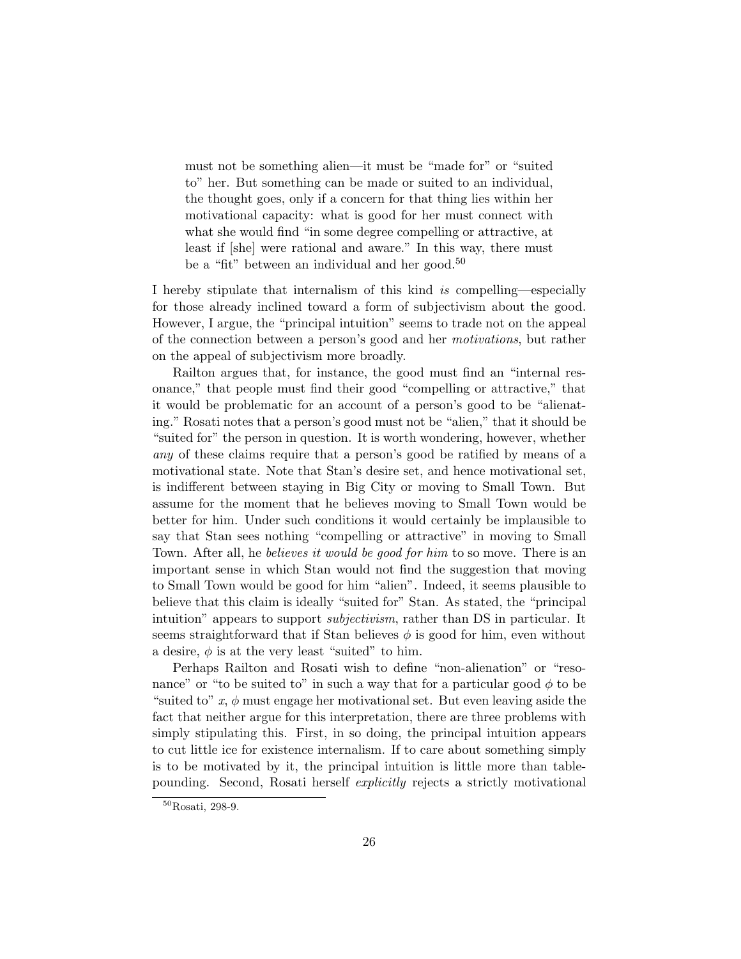must not be something alien—it must be "made for" or "suited to" her. But something can be made or suited to an individual, the thought goes, only if a concern for that thing lies within her motivational capacity: what is good for her must connect with what she would find "in some degree compelling or attractive, at least if [she] were rational and aware." In this way, there must be a "fit" between an individual and her good.<sup>50</sup>

I hereby stipulate that internalism of this kind is compelling—especially for those already inclined toward a form of subjectivism about the good. However, I argue, the "principal intuition" seems to trade not on the appeal of the connection between a person's good and her motivations, but rather on the appeal of subjectivism more broadly.

Railton argues that, for instance, the good must find an "internal resonance," that people must find their good "compelling or attractive," that it would be problematic for an account of a person's good to be "alienating." Rosati notes that a person's good must not be "alien," that it should be "suited for" the person in question. It is worth wondering, however, whether any of these claims require that a person's good be ratified by means of a motivational state. Note that Stan's desire set, and hence motivational set, is indifferent between staying in Big City or moving to Small Town. But assume for the moment that he believes moving to Small Town would be better for him. Under such conditions it would certainly be implausible to say that Stan sees nothing "compelling or attractive" in moving to Small Town. After all, he *believes it would be good for him* to so move. There is an important sense in which Stan would not find the suggestion that moving to Small Town would be good for him "alien". Indeed, it seems plausible to believe that this claim is ideally "suited for" Stan. As stated, the "principal intuition" appears to support *subjectivism*, rather than DS in particular. It seems straightforward that if Stan believes  $\phi$  is good for him, even without a desire,  $\phi$  is at the very least "suited" to him.

Perhaps Railton and Rosati wish to define "non-alienation" or "resonance" or "to be suited to" in such a way that for a particular good  $\phi$  to be "suited to"  $x$ ,  $\phi$  must engage her motivational set. But even leaving aside the fact that neither argue for this interpretation, there are three problems with simply stipulating this. First, in so doing, the principal intuition appears to cut little ice for existence internalism. If to care about something simply is to be motivated by it, the principal intuition is little more than tablepounding. Second, Rosati herself explicitly rejects a strictly motivational

<sup>50</sup>Rosati, 298-9.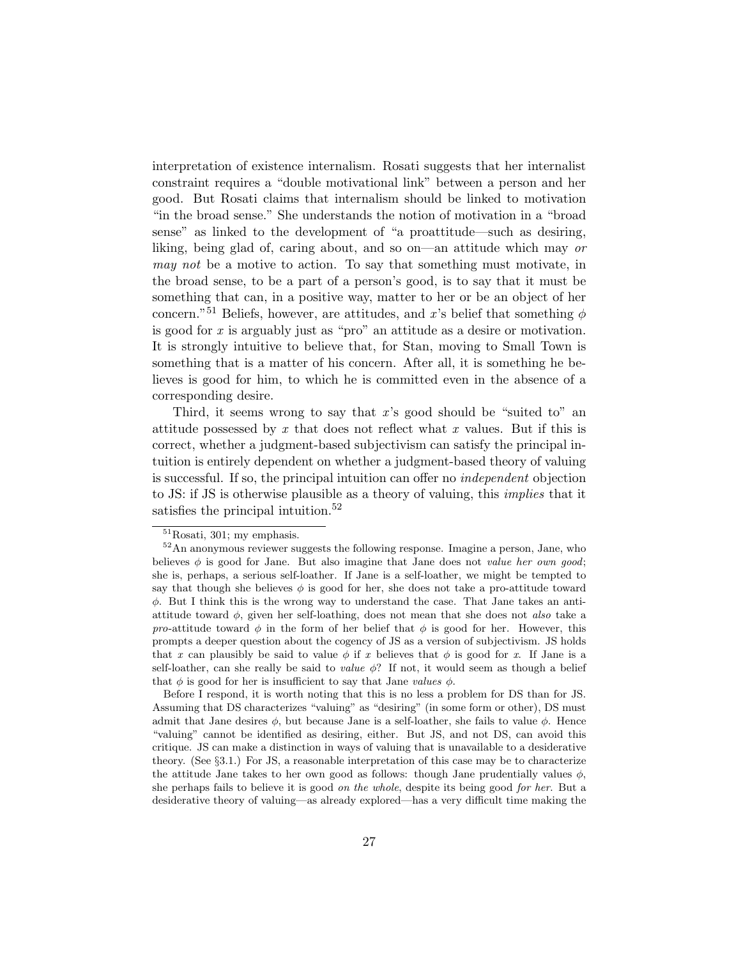interpretation of existence internalism. Rosati suggests that her internalist constraint requires a "double motivational link" between a person and her good. But Rosati claims that internalism should be linked to motivation "in the broad sense." She understands the notion of motivation in a "broad sense" as linked to the development of "a proattitude—such as desiring, liking, being glad of, caring about, and so on—an attitude which may or may not be a motive to action. To say that something must motivate, in the broad sense, to be a part of a person's good, is to say that it must be something that can, in a positive way, matter to her or be an object of her concern."<sup>51</sup> Beliefs, however, are attitudes, and x's belief that something  $\phi$ is good for x is arguably just as "pro" an attitude as a desire or motivation. It is strongly intuitive to believe that, for Stan, moving to Small Town is something that is a matter of his concern. After all, it is something he believes is good for him, to which he is committed even in the absence of a corresponding desire.

Third, it seems wrong to say that  $x$ 's good should be "suited to" and attitude possessed by x that does not reflect what x values. But if this is correct, whether a judgment-based subjectivism can satisfy the principal intuition is entirely dependent on whether a judgment-based theory of valuing is successful. If so, the principal intuition can offer no independent objection to JS: if JS is otherwise plausible as a theory of valuing, this implies that it satisfies the principal intuition.<sup>52</sup>

 $51$ Rosati, 301; my emphasis.

<sup>52</sup>An anonymous reviewer suggests the following response. Imagine a person, Jane, who believes  $\phi$  is good for Jane. But also imagine that Jane does not value her own good; she is, perhaps, a serious self-loather. If Jane is a self-loather, we might be tempted to say that though she believes  $\phi$  is good for her, she does not take a pro-attitude toward  $\phi$ . But I think this is the wrong way to understand the case. That Jane takes an antiattitude toward  $\phi$ , given her self-loathing, does not mean that she does not also take a pro-attitude toward  $\phi$  in the form of her belief that  $\phi$  is good for her. However, this prompts a deeper question about the cogency of JS as a version of subjectivism. JS holds that x can plausibly be said to value  $\phi$  if x believes that  $\phi$  is good for x. If Jane is a self-loather, can she really be said to *value*  $\phi$ ? If not, it would seem as though a belief that  $\phi$  is good for her is insufficient to say that Jane values  $\phi$ .

Before I respond, it is worth noting that this is no less a problem for DS than for JS. Assuming that DS characterizes "valuing" as "desiring" (in some form or other), DS must admit that Jane desires  $\phi$ , but because Jane is a self-loather, she fails to value  $\phi$ . Hence "valuing" cannot be identified as desiring, either. But JS, and not DS, can avoid this critique. JS can make a distinction in ways of valuing that is unavailable to a desiderative theory. (See §3.1.) For JS, a reasonable interpretation of this case may be to characterize the attitude Jane takes to her own good as follows: though Jane prudentially values  $\phi$ , she perhaps fails to believe it is good on the whole, despite its being good for her. But a desiderative theory of valuing—as already explored—has a very difficult time making the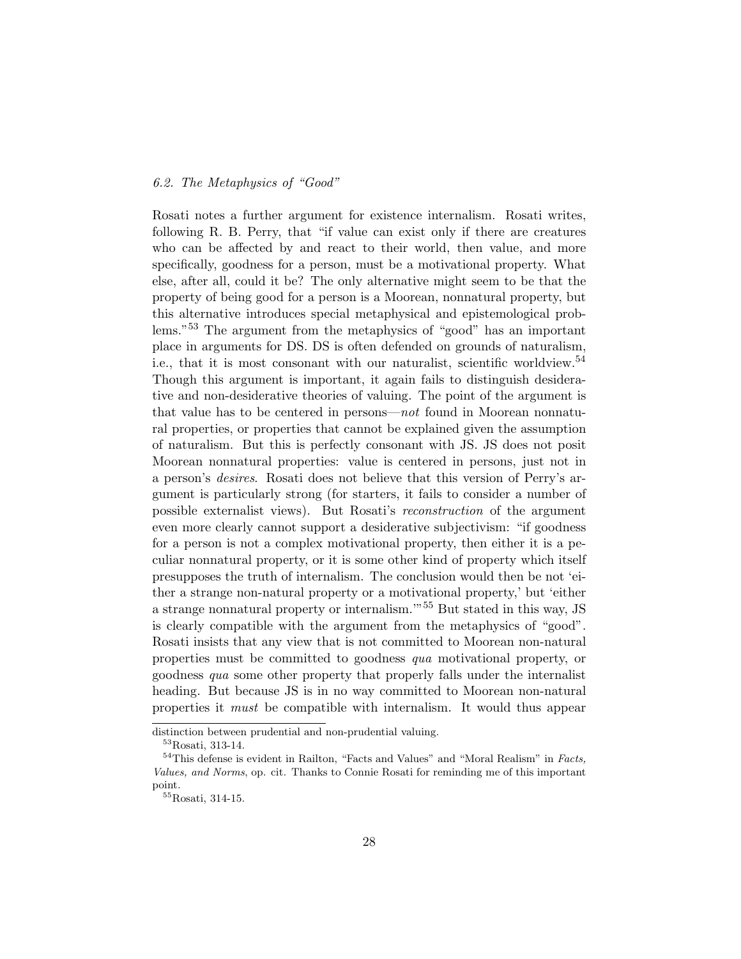# 6.2. The Metaphysics of "Good"

Rosati notes a further argument for existence internalism. Rosati writes, following R. B. Perry, that "if value can exist only if there are creatures who can be affected by and react to their world, then value, and more specifically, goodness for a person, must be a motivational property. What else, after all, could it be? The only alternative might seem to be that the property of being good for a person is a Moorean, nonnatural property, but this alternative introduces special metaphysical and epistemological problems."<sup>53</sup> The argument from the metaphysics of "good" has an important place in arguments for DS. DS is often defended on grounds of naturalism, i.e., that it is most consonant with our naturalist, scientific worldview.<sup>54</sup> Though this argument is important, it again fails to distinguish desiderative and non-desiderative theories of valuing. The point of the argument is that value has to be centered in persons—not found in Moorean nonnatural properties, or properties that cannot be explained given the assumption of naturalism. But this is perfectly consonant with JS. JS does not posit Moorean nonnatural properties: value is centered in persons, just not in a person's desires. Rosati does not believe that this version of Perry's argument is particularly strong (for starters, it fails to consider a number of possible externalist views). But Rosati's reconstruction of the argument even more clearly cannot support a desiderative subjectivism: "if goodness for a person is not a complex motivational property, then either it is a peculiar nonnatural property, or it is some other kind of property which itself presupposes the truth of internalism. The conclusion would then be not 'either a strange non-natural property or a motivational property,' but 'either a strange nonnatural property or internalism.<sup>"55</sup> But stated in this way, JS is clearly compatible with the argument from the metaphysics of "good". Rosati insists that any view that is not committed to Moorean non-natural properties must be committed to goodness qua motivational property, or goodness qua some other property that properly falls under the internalist heading. But because JS is in no way committed to Moorean non-natural properties it must be compatible with internalism. It would thus appear

distinction between prudential and non-prudential valuing.

<sup>53</sup>Rosati, 313-14.

<sup>54</sup>This defense is evident in Railton, "Facts and Values" and "Moral Realism" in Facts, Values, and Norms, op. cit. Thanks to Connie Rosati for reminding me of this important point.

<sup>55</sup>Rosati, 314-15.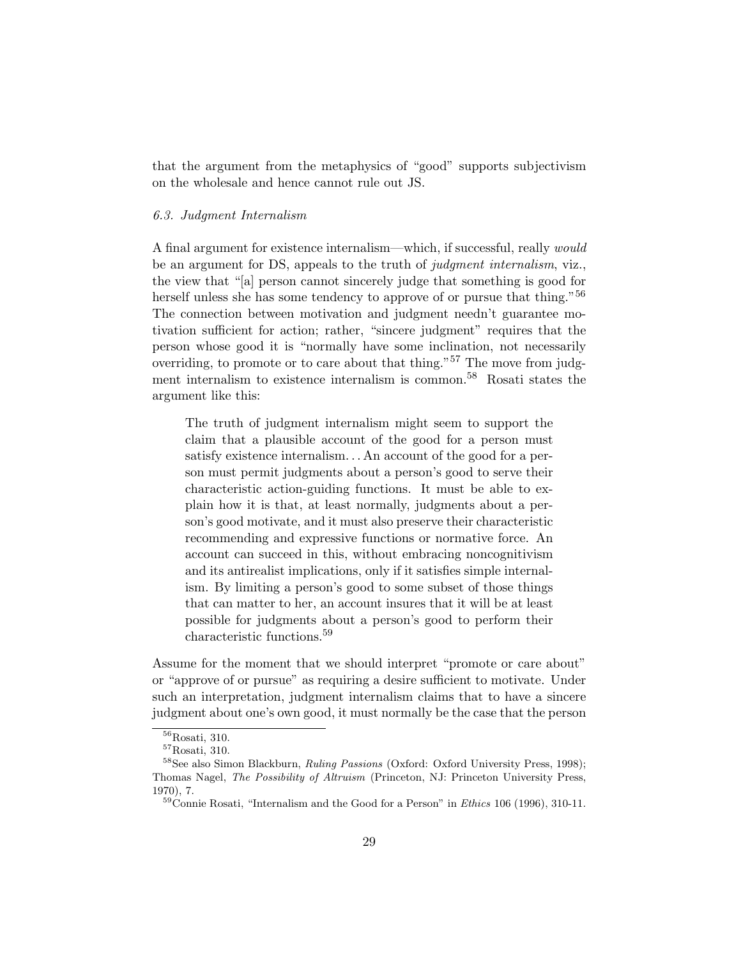that the argument from the metaphysics of "good" supports subjectivism on the wholesale and hence cannot rule out JS.

### 6.3. Judgment Internalism

A final argument for existence internalism—which, if successful, really would be an argument for DS, appeals to the truth of *judgment internalism*, viz., the view that "[a] person cannot sincerely judge that something is good for herself unless she has some tendency to approve of or pursue that thing."<sup>56</sup> The connection between motivation and judgment needn't guarantee motivation sufficient for action; rather, "sincere judgment" requires that the person whose good it is "normally have some inclination, not necessarily overriding, to promote or to care about that thing."<sup>57</sup> The move from judgment internalism to existence internalism is common.<sup>58</sup> Rosati states the argument like this:

The truth of judgment internalism might seem to support the claim that a plausible account of the good for a person must satisfy existence internalism. . . An account of the good for a person must permit judgments about a person's good to serve their characteristic action-guiding functions. It must be able to explain how it is that, at least normally, judgments about a person's good motivate, and it must also preserve their characteristic recommending and expressive functions or normative force. An account can succeed in this, without embracing noncognitivism and its antirealist implications, only if it satisfies simple internalism. By limiting a person's good to some subset of those things that can matter to her, an account insures that it will be at least possible for judgments about a person's good to perform their characteristic functions.<sup>59</sup>

Assume for the moment that we should interpret "promote or care about" or "approve of or pursue" as requiring a desire sufficient to motivate. Under such an interpretation, judgment internalism claims that to have a sincere judgment about one's own good, it must normally be the case that the person

<sup>56</sup>Rosati, 310.

<sup>57</sup>Rosati, 310.

<sup>&</sup>lt;sup>58</sup>See also Simon Blackburn, *Ruling Passions* (Oxford: Oxford University Press, 1998); Thomas Nagel, The Possibility of Altruism (Princeton, NJ: Princeton University Press, 1970), 7.

 $59$ Connie Rosati, "Internalism and the Good for a Person" in *Ethics* 106 (1996), 310-11.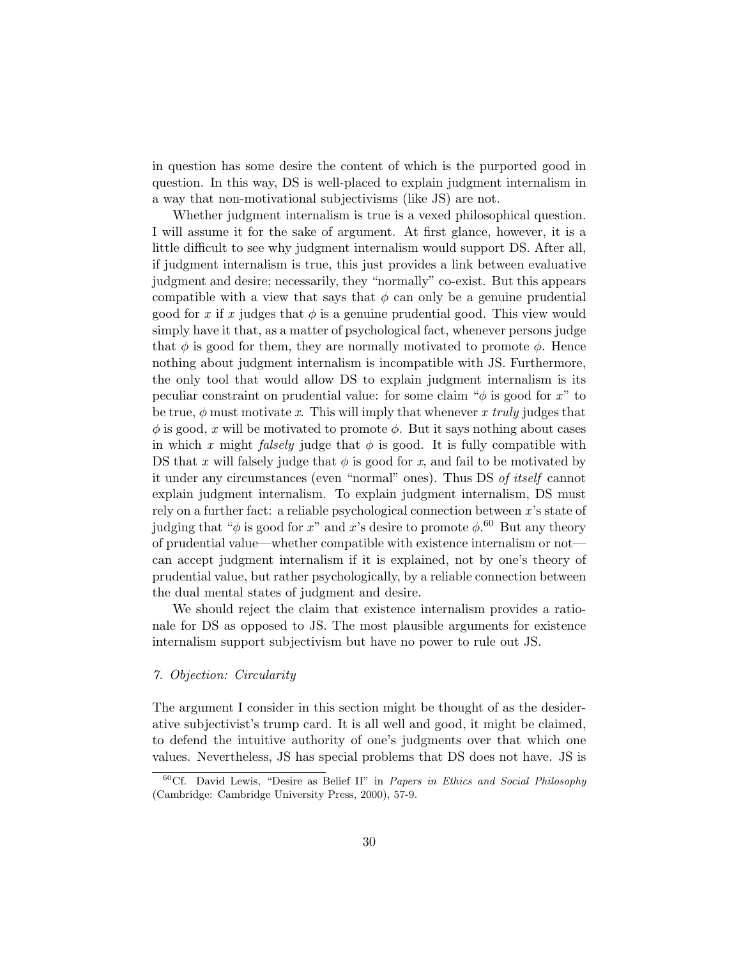in question has some desire the content of which is the purported good in question. In this way, DS is well-placed to explain judgment internalism in a way that non-motivational subjectivisms (like JS) are not.

Whether judgment internalism is true is a vexed philosophical question. I will assume it for the sake of argument. At first glance, however, it is a little difficult to see why judgment internalism would support DS. After all, if judgment internalism is true, this just provides a link between evaluative judgment and desire; necessarily, they "normally" co-exist. But this appears compatible with a view that says that  $\phi$  can only be a genuine prudential good for x if x judges that  $\phi$  is a genuine prudential good. This view would simply have it that, as a matter of psychological fact, whenever persons judge that  $\phi$  is good for them, they are normally motivated to promote  $\phi$ . Hence nothing about judgment internalism is incompatible with JS. Furthermore, the only tool that would allow DS to explain judgment internalism is its peculiar constraint on prudential value: for some claim " $\phi$  is good for x" to be true,  $\phi$  must motivate x. This will imply that whenever x truly judges that  $\phi$  is good, x will be motivated to promote  $\phi$ . But it says nothing about cases in which x might falsely judge that  $\phi$  is good. It is fully compatible with DS that x will falsely judge that  $\phi$  is good for x, and fail to be motivated by it under any circumstances (even "normal" ones). Thus DS of itself cannot explain judgment internalism. To explain judgment internalism, DS must rely on a further fact: a reliable psychological connection between  $x$ 's state of judging that " $\phi$  is good for x" and x's desire to promote  $\phi$ .<sup>60</sup> But any theory of prudential value—whether compatible with existence internalism or not can accept judgment internalism if it is explained, not by one's theory of prudential value, but rather psychologically, by a reliable connection between the dual mental states of judgment and desire.

We should reject the claim that existence internalism provides a rationale for DS as opposed to JS. The most plausible arguments for existence internalism support subjectivism but have no power to rule out JS.

# 7. Objection: Circularity

The argument I consider in this section might be thought of as the desiderative subjectivist's trump card. It is all well and good, it might be claimed, to defend the intuitive authority of one's judgments over that which one values. Nevertheless, JS has special problems that DS does not have. JS is

 ${}^{60}$ Cf. David Lewis, "Desire as Belief II" in Papers in Ethics and Social Philosophy (Cambridge: Cambridge University Press, 2000), 57-9.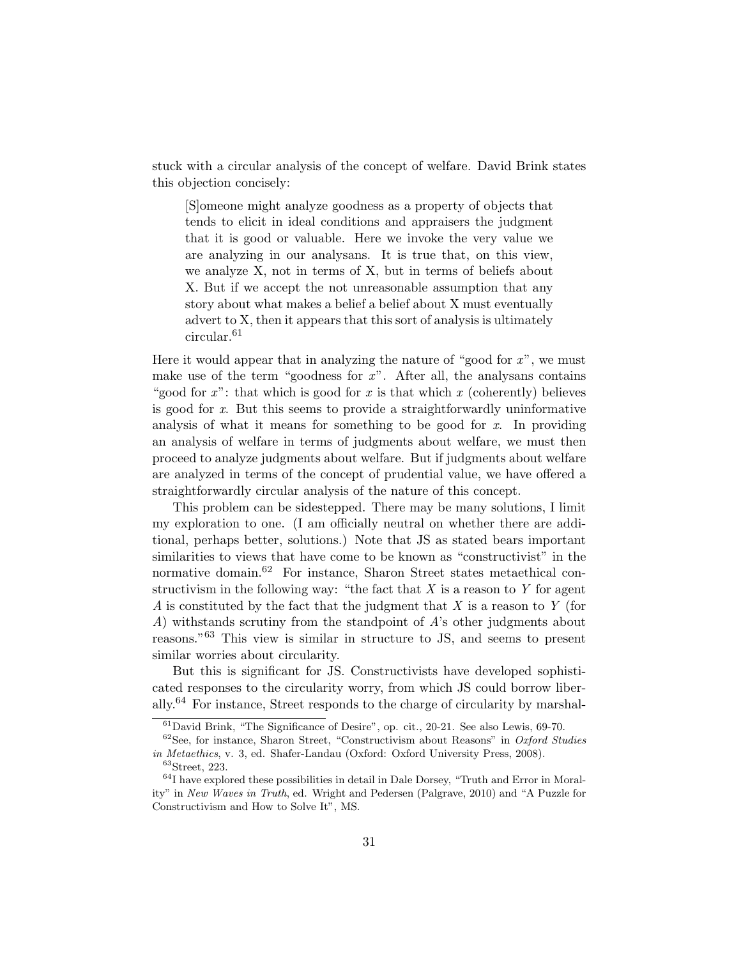stuck with a circular analysis of the concept of welfare. David Brink states this objection concisely:

[S]omeone might analyze goodness as a property of objects that tends to elicit in ideal conditions and appraisers the judgment that it is good or valuable. Here we invoke the very value we are analyzing in our analysans. It is true that, on this view, we analyze X, not in terms of X, but in terms of beliefs about X. But if we accept the not unreasonable assumption that any story about what makes a belief a belief about X must eventually advert to X, then it appears that this sort of analysis is ultimately circular.<sup>61</sup>

Here it would appear that in analyzing the nature of "good for  $x$ ", we must make use of the term "goodness for  $x$ ". After all, the analysans contains "good for  $x$ ": that which is good for  $x$  is that which  $x$  (coherently) believes is good for x. But this seems to provide a straightforwardly uninformative analysis of what it means for something to be good for  $x$ . In providing an analysis of welfare in terms of judgments about welfare, we must then proceed to analyze judgments about welfare. But if judgments about welfare are analyzed in terms of the concept of prudential value, we have offered a straightforwardly circular analysis of the nature of this concept.

This problem can be sidestepped. There may be many solutions, I limit my exploration to one. (I am officially neutral on whether there are additional, perhaps better, solutions.) Note that JS as stated bears important similarities to views that have come to be known as "constructivist" in the normative domain.<sup>62</sup> For instance, Sharon Street states metaethical constructivism in the following way: "the fact that  $X$  is a reason to  $Y$  for agent A is constituted by the fact that the judgment that  $X$  is a reason to  $Y$  (for A) withstands scrutiny from the standpoint of A's other judgments about reasons."<sup>63</sup> This view is similar in structure to JS, and seems to present similar worries about circularity.

But this is significant for JS. Constructivists have developed sophisticated responses to the circularity worry, from which JS could borrow liberally.<sup>64</sup> For instance, Street responds to the charge of circularity by marshal-

 ${}^{61}$ David Brink, "The Significance of Desire", op. cit., 20-21. See also Lewis, 69-70.

 $62$ See, for instance, Sharon Street, "Constructivism about Reasons" in Oxford Studies in Metaethics, v. 3, ed. Shafer-Landau (Oxford: Oxford University Press, 2008).

 $^{63}\rm{Street},$  223.

 $64$ I have explored these possibilities in detail in Dale Dorsey, "Truth and Error in Morality" in New Waves in Truth, ed. Wright and Pedersen (Palgrave, 2010) and "A Puzzle for Constructivism and How to Solve It", MS.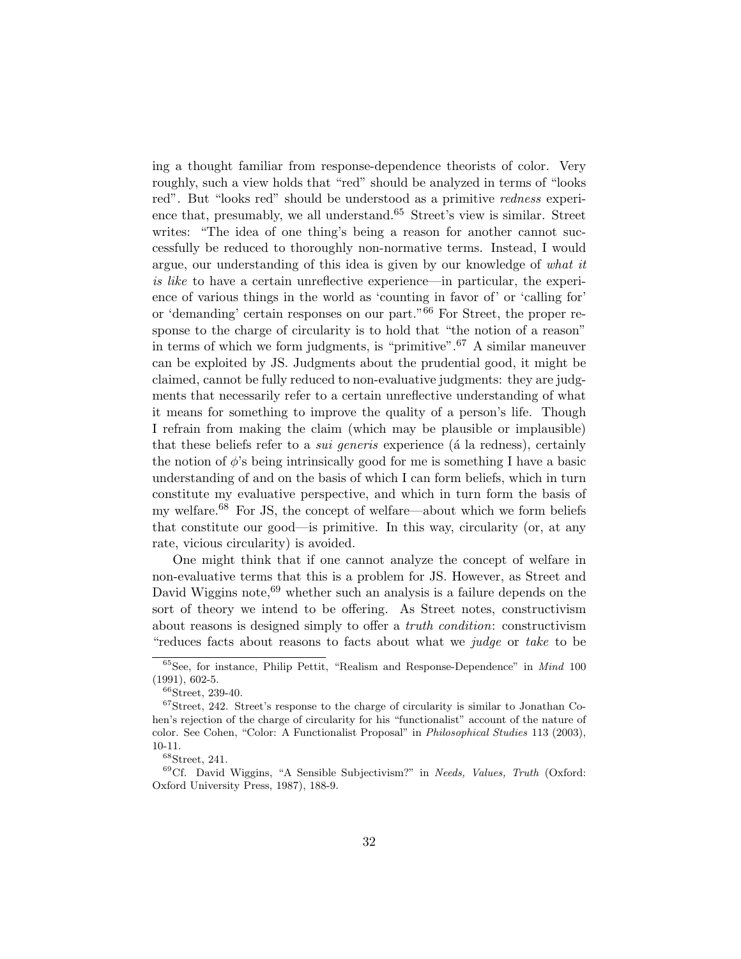ing a thought familiar from response-dependence theorists of color. Very roughly, such a view holds that "red" should be analyzed in terms of "looks red". But "looks red" should be understood as a primitive redness experience that, presumably, we all understand.<sup>65</sup> Street's view is similar. Street writes: "The idea of one thing's being a reason for another cannot successfully be reduced to thoroughly non-normative terms. Instead, I would argue, our understanding of this idea is given by our knowledge of what it is like to have a certain unreflective experience—in particular, the experience of various things in the world as 'counting in favor of' or 'calling for' or 'demanding' certain responses on our part."<sup>66</sup> For Street, the proper response to the charge of circularity is to hold that "the notion of a reason" in terms of which we form judgments, is "primitive".  $67$  A similar maneuver can be exploited by JS. Judgments about the prudential good, it might be claimed, cannot be fully reduced to non-evaluative judgments: they are judgments that necessarily refer to a certain unreflective understanding of what it means for something to improve the quality of a person's life. Though I refrain from making the claim (which may be plausible or implausible) that these beliefs refer to a *sui generis* experience ( $\acute{a}$  la redness), certainly the notion of  $\phi$ 's being intrinsically good for me is something I have a basic understanding of and on the basis of which I can form beliefs, which in turn constitute my evaluative perspective, and which in turn form the basis of my welfare.<sup>68</sup> For JS, the concept of welfare—about which we form beliefs that constitute our good—is primitive. In this way, circularity (or, at any rate, vicious circularity) is avoided.

One might think that if one cannot analyze the concept of welfare in non-evaluative terms that this is a problem for JS. However, as Street and David Wiggins note,  $69$  whether such an analysis is a failure depends on the sort of theory we intend to be offering. As Street notes, constructivism about reasons is designed simply to offer a *truth condition*: constructivism "reduces facts about reasons to facts about what we judge or take to be

<sup>65</sup>See, for instance, Philip Pettit, "Realism and Response-Dependence" in Mind 100 (1991), 602-5.

<sup>66</sup>Street, 239-40.

 $67$ Street, 242. Street's response to the charge of circularity is similar to Jonathan Cohen's rejection of the charge of circularity for his "functionalist" account of the nature of color. See Cohen, "Color: A Functionalist Proposal" in Philosophical Studies 113 (2003), 10-11.

<sup>68</sup>Street, 241.

 $69Cf.$  David Wiggins, "A Sensible Subjectivism?" in Needs, Values, Truth (Oxford: Oxford University Press, 1987), 188-9.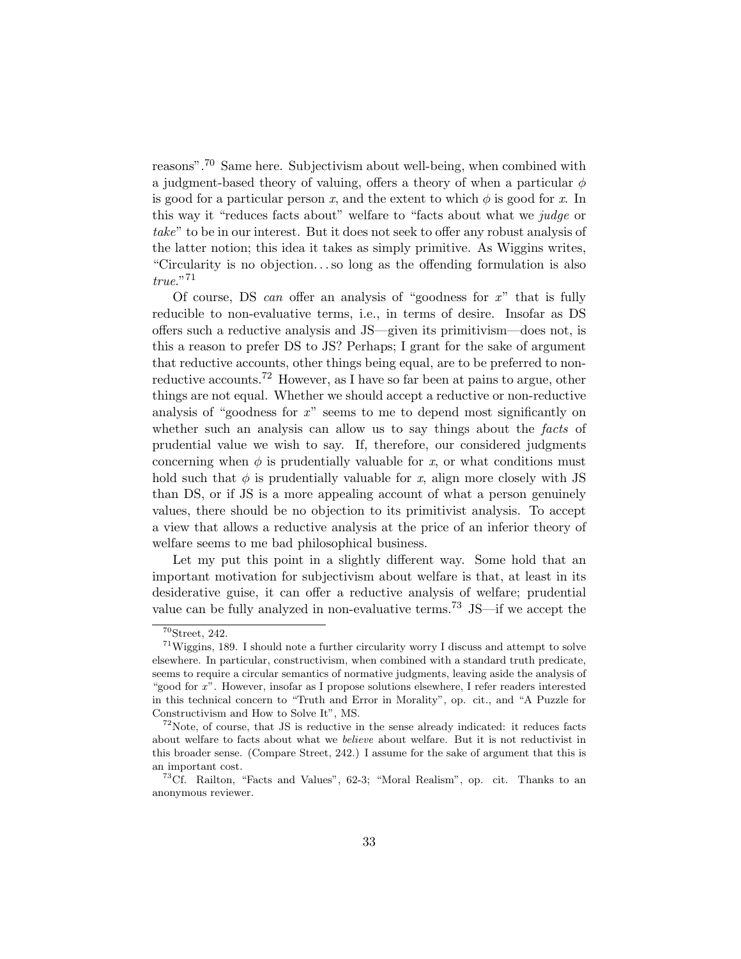reasons".<sup>70</sup> Same here. Subjectivism about well-being, when combined with a judgment-based theory of valuing, offers a theory of when a particular  $\phi$ is good for a particular person x, and the extent to which  $\phi$  is good for x. In this way it "reduces facts about" welfare to "facts about what we judge or take" to be in our interest. But it does not seek to offer any robust analysis of the latter notion; this idea it takes as simply primitive. As Wiggins writes, "Circularity is no objection. . . so long as the offending formulation is also  $true. "71$ 

Of course, DS can offer an analysis of "goodness for  $x$ " that is fully reducible to non-evaluative terms, i.e., in terms of desire. Insofar as DS offers such a reductive analysis and JS—given its primitivism—does not, is this a reason to prefer DS to JS? Perhaps; I grant for the sake of argument that reductive accounts, other things being equal, are to be preferred to nonreductive accounts.<sup>72</sup> However, as I have so far been at pains to argue, other things are not equal. Whether we should accept a reductive or non-reductive analysis of "goodness for  $x$ " seems to me to depend most significantly on whether such an analysis can allow us to say things about the facts of prudential value we wish to say. If, therefore, our considered judgments concerning when  $\phi$  is prudentially valuable for x, or what conditions must hold such that  $\phi$  is prudentially valuable for x, align more closely with JS than DS, or if JS is a more appealing account of what a person genuinely values, there should be no objection to its primitivist analysis. To accept a view that allows a reductive analysis at the price of an inferior theory of welfare seems to me bad philosophical business.

Let my put this point in a slightly different way. Some hold that an important motivation for subjectivism about welfare is that, at least in its desiderative guise, it can offer a reductive analysis of welfare; prudential value can be fully analyzed in non-evaluative terms.<sup>73</sup> JS—if we accept the

 $70$ Street, 242.

 $^{71}\rm{Wiggins},$  189. I should note a further circularity worry I discuss and attempt to solve elsewhere. In particular, constructivism, when combined with a standard truth predicate, seems to require a circular semantics of normative judgments, leaving aside the analysis of "good for x". However, insofar as I propose solutions elsewhere, I refer readers interested in this technical concern to "Truth and Error in Morality", op. cit., and "A Puzzle for Constructivism and How to Solve It", MS.

 $72$ Note, of course, that JS is reductive in the sense already indicated: it reduces facts about welfare to facts about what we believe about welfare. But it is not reductivist in this broader sense. (Compare Street, 242.) I assume for the sake of argument that this is an important cost.

<sup>73</sup>Cf. Railton, "Facts and Values", 62-3; "Moral Realism", op. cit. Thanks to an anonymous reviewer.